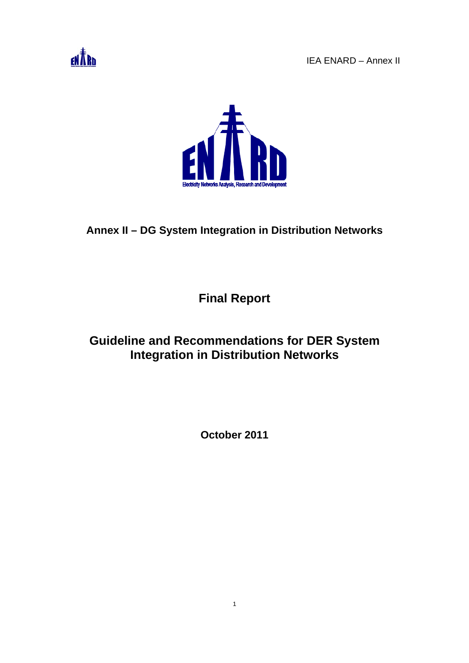



# **Annex II – DG System Integration in Distribution Networks**

**Final Report** 

# **Guideline and Recommendations for DER System Integration in Distribution Networks**

**October 2011** 

1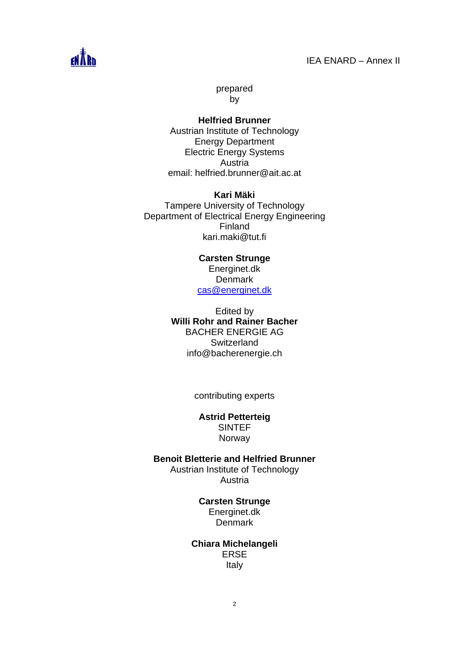

prepared by

**Helfried Brunner**  Austrian Institute of Technology Energy Department Electric Energy Systems Austria email: helfried.brunner@ait.ac.at

**Kari Mäki**  Tampere University of Technology Department of Electrical Energy Engineering Finland kari.maki@tut.fi

> **Carsten Strunge**  Energinet.dk **Denmark** cas@energinet.dk

Edited by **Willi Rohr and Rainer Bacher**  BACHER ENERGIE AG **Switzerland** info@bacherenergie.ch

contributing experts

**Astrid Petterteig**  SINTEF Norway

**Benoit Bletterie and Helfried Brunner** 

Austrian Institute of Technology Austria

#### **Carsten Strunge**

Energinet.dk Denmark

**Chiara Michelangeli**  ERSE Italy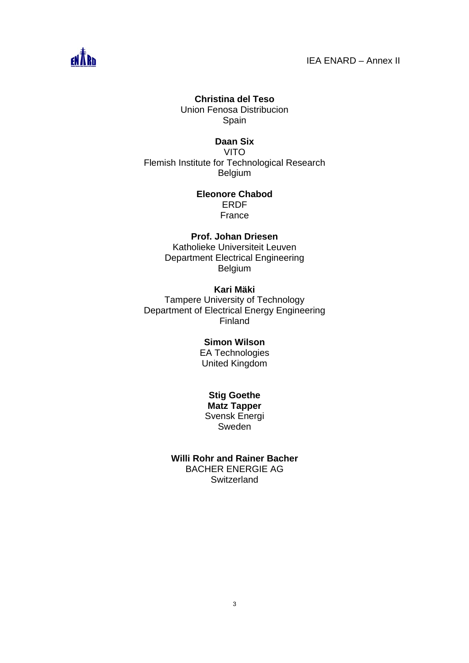

#### **Christina del Teso**

Union Fenosa Distribucion Spain

#### **Daan Six**

VITO Flemish Institute for Technological Research Belgium

### **Eleonore Chabod**  ERDF

France

#### **Prof. Johan Driesen**

Katholieke Universiteit Leuven Department Electrical Engineering Belgium

#### **Kari Mäki**

Tampere University of Technology Department of Electrical Energy Engineering Finland

# **Simon Wilson**

EA Technologies United Kingdom

#### **Stig Goethe**

**Matz Tapper**  Svensk Energi Sweden

#### **Willi Rohr and Rainer Bacher**  BACHER ENERGIE AG

**Switzerland**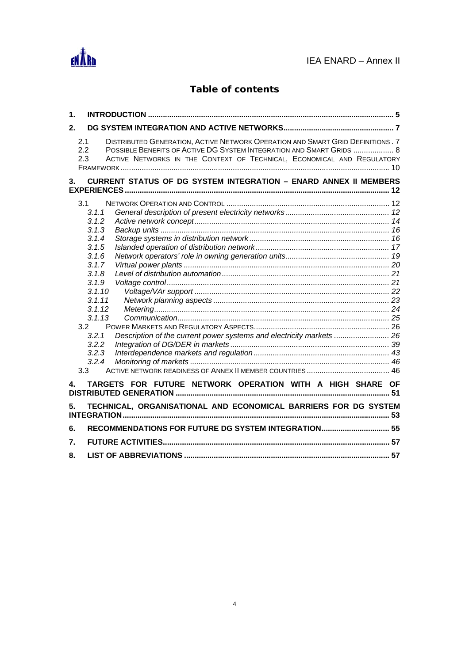

# **Table of contents**

| $\mathbf 1$       |                                                                                                                                                                                                                                                        |  |
|-------------------|--------------------------------------------------------------------------------------------------------------------------------------------------------------------------------------------------------------------------------------------------------|--|
| 2.                |                                                                                                                                                                                                                                                        |  |
| 2.1<br>2.2<br>2.3 | DISTRIBUTED GENERATION, ACTIVE NETWORK OPERATION AND SMART GRID DEFINITIONS. 7<br>POSSIBLE BENEFITS OF ACTIVE DG SYSTEM INTEGRATION AND SMART GRIDS  8<br>ACTIVE NETWORKS IN THE CONTEXT OF TECHNICAL, ECONOMICAL AND REGULATORY                       |  |
| 3.                | <b>CURRENT STATUS OF DG SYSTEM INTEGRATION - ENARD ANNEX II MEMBERS</b>                                                                                                                                                                                |  |
|                   | 3.1<br>3.1.1<br>3.1.2<br>3.1.3<br>3.1.4<br>3.1.5<br>3.1.6<br>3.1.7<br>3.1.8<br>3.1.9<br>3.1.10<br>3.1.11<br>3.1.12<br>3.1.13<br>3.2<br>Description of the current power systems and electricity markets  26<br>3.2.1<br>3.2.2<br>3.2.3<br>3.2.4<br>3.3 |  |
| 4.                | TARGETS FOR FUTURE NETWORK OPERATION WITH A HIGH SHARE OF                                                                                                                                                                                              |  |
| 5.                | TECHNICAL, ORGANISATIONAL AND ECONOMICAL BARRIERS FOR DG SYSTEM                                                                                                                                                                                        |  |
| 6.                | RECOMMENDATIONS FOR FUTURE DG SYSTEM INTEGRATION 55                                                                                                                                                                                                    |  |
| 7.                |                                                                                                                                                                                                                                                        |  |
| 8.                |                                                                                                                                                                                                                                                        |  |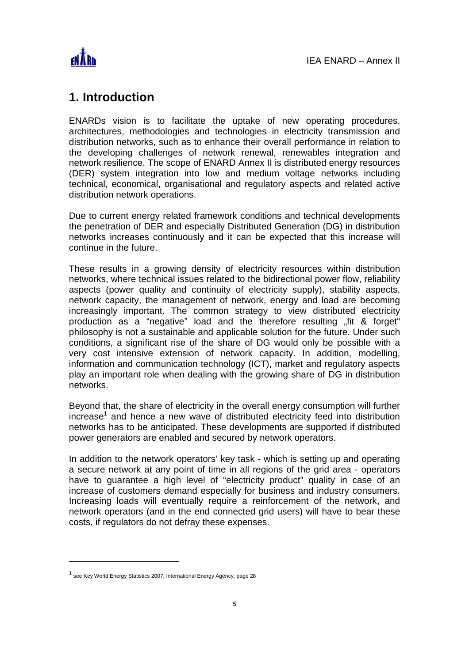

# **1. Introduction**

ENARDs vision is to facilitate the uptake of new operating procedures, architectures, methodologies and technologies in electricity transmission and distribution networks, such as to enhance their overall performance in relation to the developing challenges of network renewal, renewables integration and network resilience. The scope of ENARD Annex II is distributed energy resources (DER) system integration into low and medium voltage networks including technical, economical, organisational and regulatory aspects and related active distribution network operations.

Due to current energy related framework conditions and technical developments the penetration of DER and especially Distributed Generation (DG) in distribution networks increases continuously and it can be expected that this increase will continue in the future.

These results in a growing density of electricity resources within distribution networks, where technical issues related to the bidirectional power flow, reliability aspects (power quality and continuity of electricity supply), stability aspects, network capacity, the management of network, energy and load are becoming increasingly important. The common strategy to view distributed electricity production as a "negative" load and the therefore resulting "fit & forget" philosophy is not a sustainable and applicable solution for the future. Under such conditions, a significant rise of the share of DG would only be possible with a very cost intensive extension of network capacity. In addition, modelling, information and communication technology (ICT), market and regulatory aspects play an important role when dealing with the growing share of DG in distribution networks.

Beyond that, the share of electricity in the overall energy consumption will further increase<sup>1</sup> and hence a new wave of distributed electricity feed into distribution networks has to be anticipated. These developments are supported if distributed power generators are enabled and secured by network operators.

In addition to the network operators' key task - which is setting up and operating a secure network at any point of time in all regions of the grid area - operators have to guarantee a high level of "electricity product" quality in case of an increase of customers demand especially for business and industry consumers. Increasing loads will eventually require a reinforcement of the network, and network operators (and in the end connected grid users) will have to bear these costs, if regulators do not defray these expenses.

<sup>&</sup>lt;sup>1</sup> see Key World Energy Statistics 2007, International Energy Agency, page 28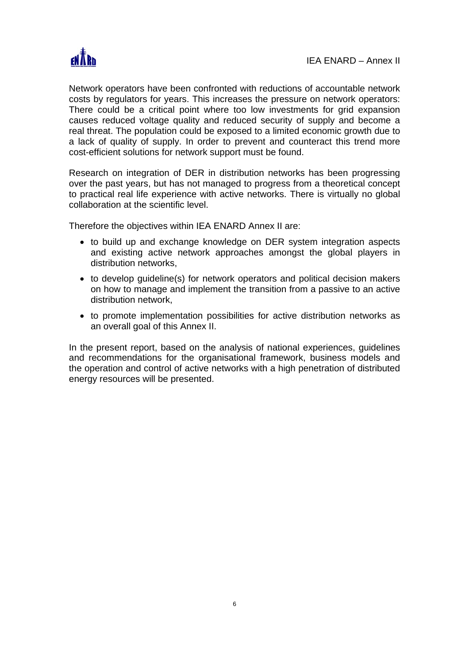

Network operators have been confronted with reductions of accountable network costs by regulators for years. This increases the pressure on network operators: There could be a critical point where too low investments for grid expansion causes reduced voltage quality and reduced security of supply and become a real threat. The population could be exposed to a limited economic growth due to a lack of quality of supply. In order to prevent and counteract this trend more cost-efficient solutions for network support must be found.

Research on integration of DER in distribution networks has been progressing over the past years, but has not managed to progress from a theoretical concept to practical real life experience with active networks. There is virtually no global collaboration at the scientific level.

Therefore the objectives within IEA ENARD Annex II are:

- to build up and exchange knowledge on DER system integration aspects and existing active network approaches amongst the global players in distribution networks,
- to develop guideline(s) for network operators and political decision makers on how to manage and implement the transition from a passive to an active distribution network,
- to promote implementation possibilities for active distribution networks as an overall goal of this Annex II.

In the present report, based on the analysis of national experiences, guidelines and recommendations for the organisational framework, business models and the operation and control of active networks with a high penetration of distributed energy resources will be presented.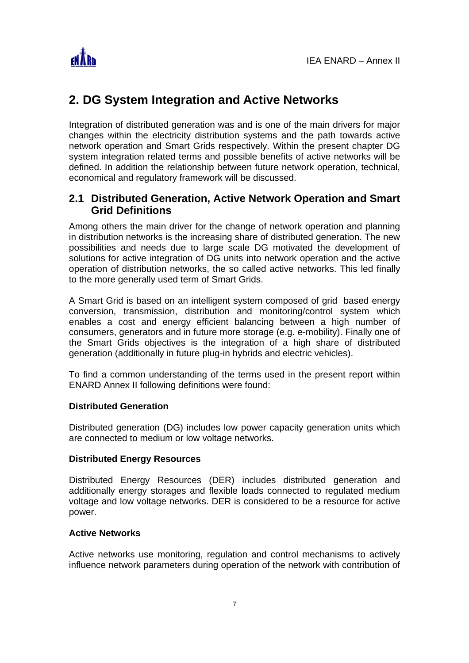

# **2. DG System Integration and Active Networks**

Integration of distributed generation was and is one of the main drivers for major changes within the electricity distribution systems and the path towards active network operation and Smart Grids respectively. Within the present chapter DG system integration related terms and possible benefits of active networks will be defined. In addition the relationship between future network operation, technical, economical and regulatory framework will be discussed.

# **2.1 Distributed Generation, Active Network Operation and Smart Grid Definitions**

Among others the main driver for the change of network operation and planning in distribution networks is the increasing share of distributed generation. The new possibilities and needs due to large scale DG motivated the development of solutions for active integration of DG units into network operation and the active operation of distribution networks, the so called active networks. This led finally to the more generally used term of Smart Grids.

A Smart Grid is based on an intelligent system composed of grid based energy conversion, transmission, distribution and monitoring/control system which enables a cost and energy efficient balancing between a high number of consumers, generators and in future more storage (e.g. e-mobility). Finally one of the Smart Grids objectives is the integration of a high share of distributed generation (additionally in future plug-in hybrids and electric vehicles).

To find a common understanding of the terms used in the present report within ENARD Annex II following definitions were found:

# **Distributed Generation**

Distributed generation (DG) includes low power capacity generation units which are connected to medium or low voltage networks.

#### **Distributed Energy Resources**

Distributed Energy Resources (DER) includes distributed generation and additionally energy storages and flexible loads connected to regulated medium voltage and low voltage networks. DER is considered to be a resource for active power.

#### **Active Networks**

Active networks use monitoring, regulation and control mechanisms to actively influence network parameters during operation of the network with contribution of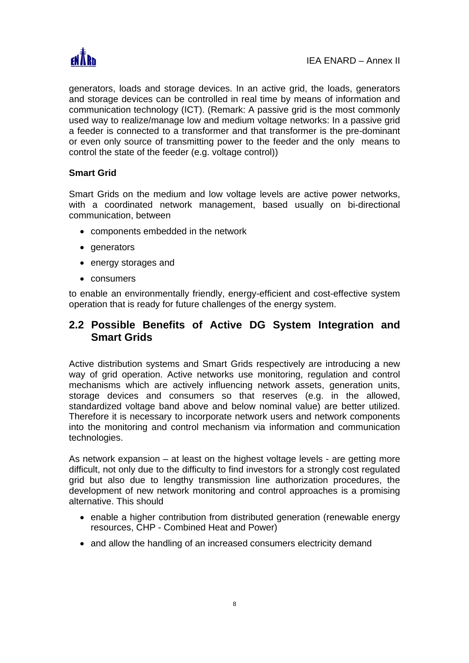

generators, loads and storage devices. In an active grid, the loads, generators and storage devices can be controlled in real time by means of information and communication technology (ICT). (Remark: A passive grid is the most commonly used way to realize/manage low and medium voltage networks: In a passive grid a feeder is connected to a transformer and that transformer is the pre-dominant or even only source of transmitting power to the feeder and the only means to control the state of the feeder (e.g. voltage control))

# **Smart Grid**

Smart Grids on the medium and low voltage levels are active power networks, with a coordinated network management, based usually on bi-directional communication, between

- components embedded in the network
- generators
- energy storages and
- consumers

to enable an environmentally friendly, energy-efficient and cost-effective system operation that is ready for future challenges of the energy system.

# **2.2 Possible Benefits of Active DG System Integration and Smart Grids**

Active distribution systems and Smart Grids respectively are introducing a new way of grid operation. Active networks use monitoring, regulation and control mechanisms which are actively influencing network assets, generation units, storage devices and consumers so that reserves (e.g. in the allowed, standardized voltage band above and below nominal value) are better utilized. Therefore it is necessary to incorporate network users and network components into the monitoring and control mechanism via information and communication technologies.

As network expansion – at least on the highest voltage levels - are getting more difficult, not only due to the difficulty to find investors for a strongly cost regulated grid but also due to lengthy transmission line authorization procedures, the development of new network monitoring and control approaches is a promising alternative. This should

- enable a higher contribution from distributed generation (renewable energy resources, CHP - Combined Heat and Power)
- and allow the handling of an increased consumers electricity demand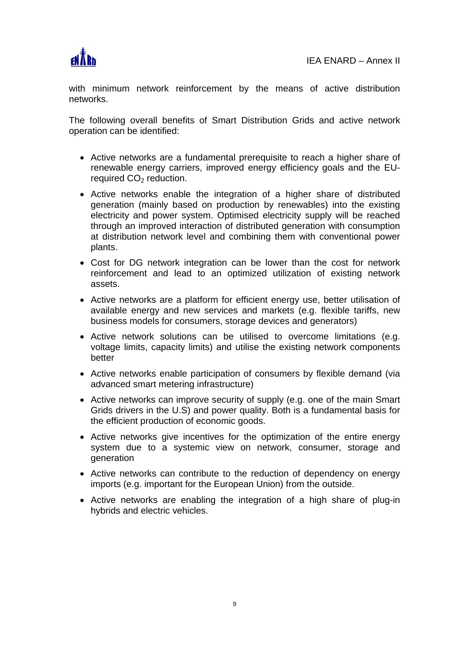

with minimum network reinforcement by the means of active distribution networks.

The following overall benefits of Smart Distribution Grids and active network operation can be identified:

- Active networks are a fundamental prerequisite to reach a higher share of renewable energy carriers, improved energy efficiency goals and the EUrequired CO<sub>2</sub> reduction.
- Active networks enable the integration of a higher share of distributed generation (mainly based on production by renewables) into the existing electricity and power system. Optimised electricity supply will be reached through an improved interaction of distributed generation with consumption at distribution network level and combining them with conventional power plants.
- Cost for DG network integration can be lower than the cost for network reinforcement and lead to an optimized utilization of existing network assets.
- Active networks are a platform for efficient energy use, better utilisation of available energy and new services and markets (e.g. flexible tariffs, new business models for consumers, storage devices and generators)
- Active network solutions can be utilised to overcome limitations (e.g. voltage limits, capacity limits) and utilise the existing network components better
- Active networks enable participation of consumers by flexible demand (via advanced smart metering infrastructure)
- Active networks can improve security of supply (e.g. one of the main Smart Grids drivers in the U.S) and power quality. Both is a fundamental basis for the efficient production of economic goods.
- Active networks give incentives for the optimization of the entire energy system due to a systemic view on network, consumer, storage and generation
- Active networks can contribute to the reduction of dependency on energy imports (e.g. important for the European Union) from the outside.
- Active networks are enabling the integration of a high share of plug-in hybrids and electric vehicles.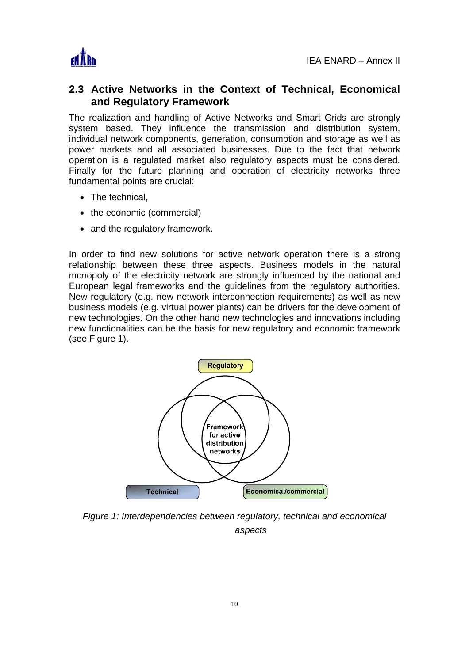

# **2.3 Active Networks in the Context of Technical, Economical and Regulatory Framework**

The realization and handling of Active Networks and Smart Grids are strongly system based. They influence the transmission and distribution system, individual network components, generation, consumption and storage as well as power markets and all associated businesses. Due to the fact that network operation is a regulated market also regulatory aspects must be considered. Finally for the future planning and operation of electricity networks three fundamental points are crucial:

- The technical.
- the economic (commercial)
- and the regulatory framework.

In order to find new solutions for active network operation there is a strong relationship between these three aspects. Business models in the natural monopoly of the electricity network are strongly influenced by the national and European legal frameworks and the guidelines from the regulatory authorities. New regulatory (e.g. new network interconnection requirements) as well as new business models (e.g. virtual power plants) can be drivers for the development of new technologies. On the other hand new technologies and innovations including new functionalities can be the basis for new regulatory and economic framework (see Figure 1).



*Figure 1: Interdependencies between regulatory, technical and economical aspects*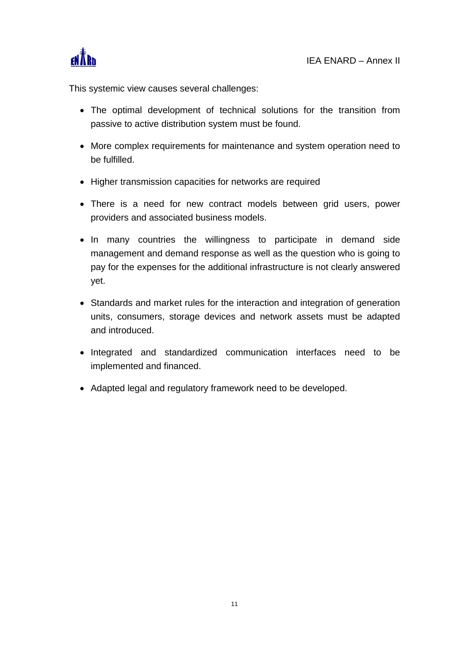

This systemic view causes several challenges:

- The optimal development of technical solutions for the transition from passive to active distribution system must be found.
- More complex requirements for maintenance and system operation need to be fulfilled.
- Higher transmission capacities for networks are required
- There is a need for new contract models between grid users, power providers and associated business models.
- In many countries the willingness to participate in demand side management and demand response as well as the question who is going to pay for the expenses for the additional infrastructure is not clearly answered yet.
- Standards and market rules for the interaction and integration of generation units, consumers, storage devices and network assets must be adapted and introduced.
- Integrated and standardized communication interfaces need to be implemented and financed.
- Adapted legal and regulatory framework need to be developed.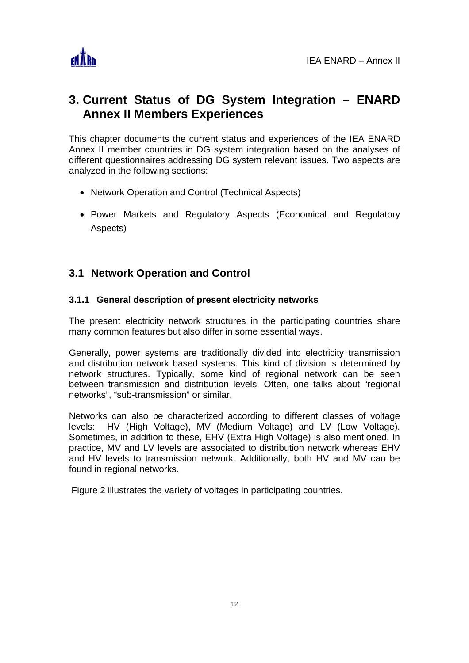

# **3. Current Status of DG System Integration – ENARD Annex II Members Experiences**

This chapter documents the current status and experiences of the IEA ENARD Annex II member countries in DG system integration based on the analyses of different questionnaires addressing DG system relevant issues. Two aspects are analyzed in the following sections:

- Network Operation and Control (Technical Aspects)
- Power Markets and Regulatory Aspects (Economical and Regulatory Aspects)

# **3.1 Network Operation and Control**

# **3.1.1 General description of present electricity networks**

The present electricity network structures in the participating countries share many common features but also differ in some essential ways.

Generally, power systems are traditionally divided into electricity transmission and distribution network based systems. This kind of division is determined by network structures. Typically, some kind of regional network can be seen between transmission and distribution levels. Often, one talks about "regional networks", "sub-transmission" or similar.

Networks can also be characterized according to different classes of voltage levels: HV (High Voltage), MV (Medium Voltage) and LV (Low Voltage). Sometimes, in addition to these, EHV (Extra High Voltage) is also mentioned. In practice, MV and LV levels are associated to distribution network whereas EHV and HV levels to transmission network. Additionally, both HV and MV can be found in regional networks.

Figure 2 illustrates the variety of voltages in participating countries.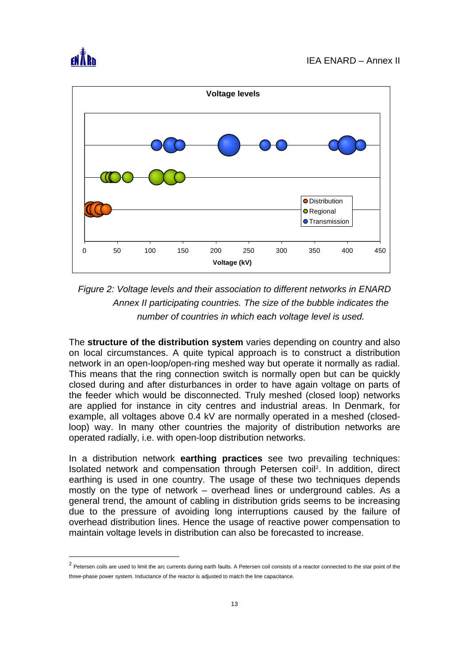

l



*Figure 2: Voltage levels and their association to different networks in ENARD Annex II participating countries. The size of the bubble indicates the number of countries in which each voltage level is used.* 

The **structure of the distribution system** varies depending on country and also on local circumstances. A quite typical approach is to construct a distribution network in an open-loop/open-ring meshed way but operate it normally as radial. This means that the ring connection switch is normally open but can be quickly closed during and after disturbances in order to have again voltage on parts of the feeder which would be disconnected. Truly meshed (closed loop) networks are applied for instance in city centres and industrial areas. In Denmark, for example, all voltages above 0.4 kV are normally operated in a meshed (closedloop) way. In many other countries the majority of distribution networks are operated radially, i.e. with open-loop distribution networks.

In a distribution network **earthing practices** see two prevailing techniques: Isolated network and compensation through Petersen coil<sup>2</sup>. In addition, direct earthing is used in one country. The usage of these two techniques depends mostly on the type of network – overhead lines or underground cables. As a general trend, the amount of cabling in distribution grids seems to be increasing due to the pressure of avoiding long interruptions caused by the failure of overhead distribution lines. Hence the usage of reactive power compensation to maintain voltage levels in distribution can also be forecasted to increase.

 $^2$  Petersen coils are used to limit the arc currents during earth faults. A Petersen coil consists of a reactor connected to the star point of the three-phase power system. Inductance of the reactor is adjusted to match the line capacitance.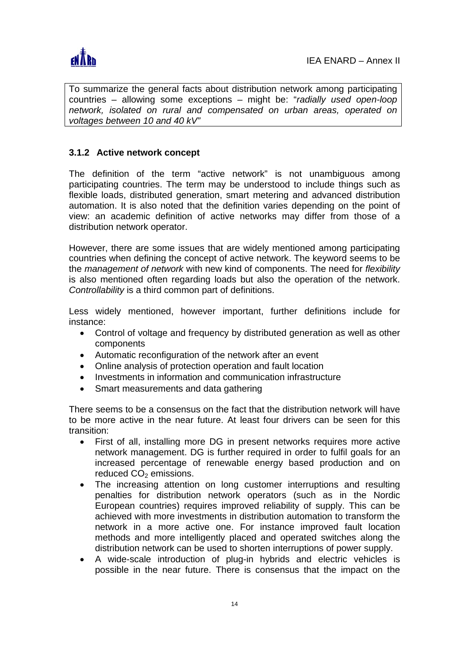

To summarize the general facts about distribution network among participating countries – allowing some exceptions – might be: "*radially used open-loop network, isolated on rural and compensated on urban areas, operated on voltages between 10 and 40 kV"*

# **3.1.2 Active network concept**

The definition of the term "active network" is not unambiguous among participating countries. The term may be understood to include things such as flexible loads, distributed generation, smart metering and advanced distribution automation. It is also noted that the definition varies depending on the point of view: an academic definition of active networks may differ from those of a distribution network operator.

However, there are some issues that are widely mentioned among participating countries when defining the concept of active network. The keyword seems to be the *management of network* with new kind of components. The need for *flexibility* is also mentioned often regarding loads but also the operation of the network. *Controllability* is a third common part of definitions.

Less widely mentioned, however important, further definitions include for instance:

- Control of voltage and frequency by distributed generation as well as other components
- Automatic reconfiguration of the network after an event
- Online analysis of protection operation and fault location
- Investments in information and communication infrastructure
- Smart measurements and data gathering

There seems to be a consensus on the fact that the distribution network will have to be more active in the near future. At least four drivers can be seen for this transition:

- First of all, installing more DG in present networks requires more active network management. DG is further required in order to fulfil goals for an increased percentage of renewable energy based production and on reduced  $CO<sub>2</sub>$  emissions.
- The increasing attention on long customer interruptions and resulting penalties for distribution network operators (such as in the Nordic European countries) requires improved reliability of supply. This can be achieved with more investments in distribution automation to transform the network in a more active one. For instance improved fault location methods and more intelligently placed and operated switches along the distribution network can be used to shorten interruptions of power supply.
- A wide-scale introduction of plug-in hybrids and electric vehicles is possible in the near future. There is consensus that the impact on the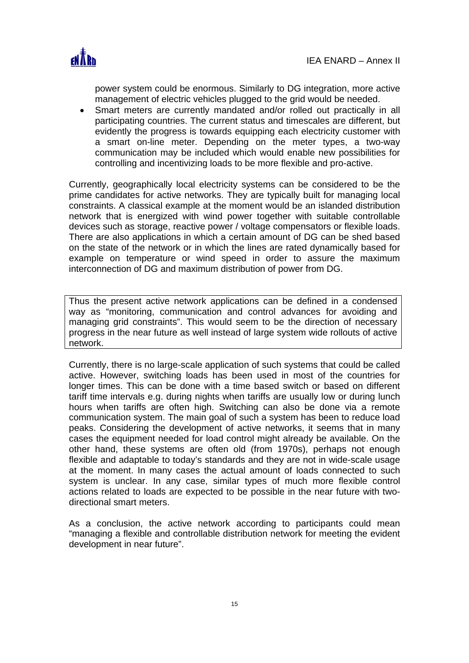

power system could be enormous. Similarly to DG integration, more active management of electric vehicles plugged to the grid would be needed.

• Smart meters are currently mandated and/or rolled out practically in all participating countries. The current status and timescales are different, but evidently the progress is towards equipping each electricity customer with a smart on-line meter. Depending on the meter types, a two-way communication may be included which would enable new possibilities for controlling and incentivizing loads to be more flexible and pro-active.

Currently, geographically local electricity systems can be considered to be the prime candidates for active networks. They are typically built for managing local constraints. A classical example at the moment would be an islanded distribution network that is energized with wind power together with suitable controllable devices such as storage, reactive power / voltage compensators or flexible loads. There are also applications in which a certain amount of DG can be shed based on the state of the network or in which the lines are rated dynamically based for example on temperature or wind speed in order to assure the maximum interconnection of DG and maximum distribution of power from DG.

Thus the present active network applications can be defined in a condensed way as "monitoring, communication and control advances for avoiding and managing grid constraints". This would seem to be the direction of necessary progress in the near future as well instead of large system wide rollouts of active network.

Currently, there is no large-scale application of such systems that could be called active. However, switching loads has been used in most of the countries for longer times. This can be done with a time based switch or based on different tariff time intervals e.g. during nights when tariffs are usually low or during lunch hours when tariffs are often high. Switching can also be done via a remote communication system. The main goal of such a system has been to reduce load peaks. Considering the development of active networks, it seems that in many cases the equipment needed for load control might already be available. On the other hand, these systems are often old (from 1970s), perhaps not enough flexible and adaptable to today's standards and they are not in wide-scale usage at the moment. In many cases the actual amount of loads connected to such system is unclear. In any case, similar types of much more flexible control actions related to loads are expected to be possible in the near future with twodirectional smart meters.

As a conclusion, the active network according to participants could mean "managing a flexible and controllable distribution network for meeting the evident development in near future".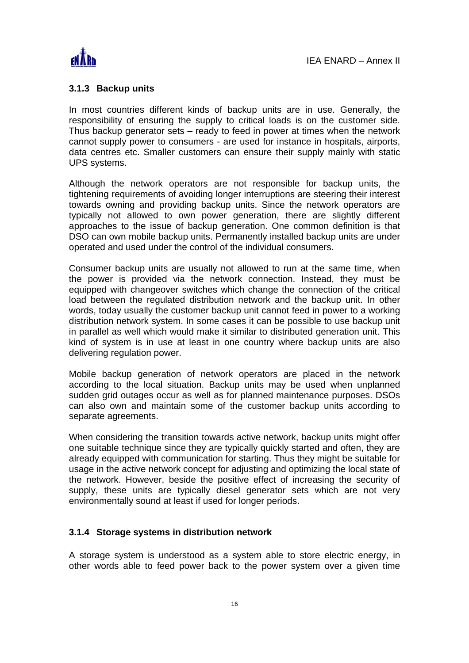

### **3.1.3 Backup units**

In most countries different kinds of backup units are in use. Generally, the responsibility of ensuring the supply to critical loads is on the customer side. Thus backup generator sets – ready to feed in power at times when the network cannot supply power to consumers - are used for instance in hospitals, airports, data centres etc. Smaller customers can ensure their supply mainly with static UPS systems.

Although the network operators are not responsible for backup units, the tightening requirements of avoiding longer interruptions are steering their interest towards owning and providing backup units. Since the network operators are typically not allowed to own power generation, there are slightly different approaches to the issue of backup generation. One common definition is that DSO can own mobile backup units. Permanently installed backup units are under operated and used under the control of the individual consumers.

Consumer backup units are usually not allowed to run at the same time, when the power is provided via the network connection. Instead, they must be equipped with changeover switches which change the connection of the critical load between the regulated distribution network and the backup unit. In other words, today usually the customer backup unit cannot feed in power to a working distribution network system. In some cases it can be possible to use backup unit in parallel as well which would make it similar to distributed generation unit. This kind of system is in use at least in one country where backup units are also delivering regulation power.

Mobile backup generation of network operators are placed in the network according to the local situation. Backup units may be used when unplanned sudden grid outages occur as well as for planned maintenance purposes. DSOs can also own and maintain some of the customer backup units according to separate agreements.

When considering the transition towards active network, backup units might offer one suitable technique since they are typically quickly started and often, they are already equipped with communication for starting. Thus they might be suitable for usage in the active network concept for adjusting and optimizing the local state of the network. However, beside the positive effect of increasing the security of supply, these units are typically diesel generator sets which are not very environmentally sound at least if used for longer periods.

#### **3.1.4 Storage systems in distribution network**

A storage system is understood as a system able to store electric energy, in other words able to feed power back to the power system over a given time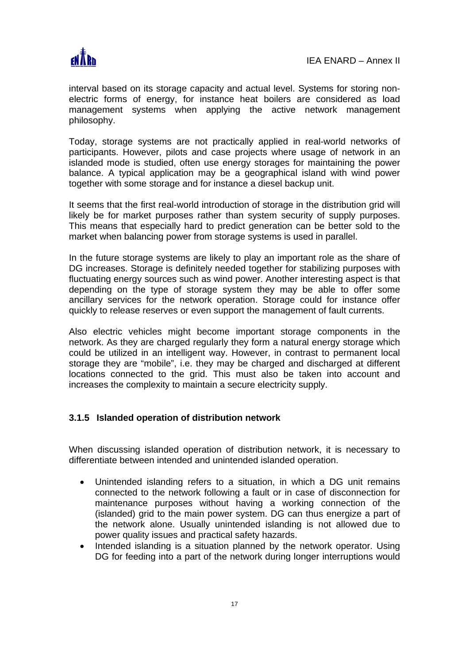

interval based on its storage capacity and actual level. Systems for storing nonelectric forms of energy, for instance heat boilers are considered as load management systems when applying the active network management philosophy.

Today, storage systems are not practically applied in real-world networks of participants. However, pilots and case projects where usage of network in an islanded mode is studied, often use energy storages for maintaining the power balance. A typical application may be a geographical island with wind power together with some storage and for instance a diesel backup unit.

It seems that the first real-world introduction of storage in the distribution grid will likely be for market purposes rather than system security of supply purposes. This means that especially hard to predict generation can be better sold to the market when balancing power from storage systems is used in parallel.

In the future storage systems are likely to play an important role as the share of DG increases. Storage is definitely needed together for stabilizing purposes with fluctuating energy sources such as wind power. Another interesting aspect is that depending on the type of storage system they may be able to offer some ancillary services for the network operation. Storage could for instance offer quickly to release reserves or even support the management of fault currents.

Also electric vehicles might become important storage components in the network. As they are charged regularly they form a natural energy storage which could be utilized in an intelligent way. However, in contrast to permanent local storage they are "mobile", i.e. they may be charged and discharged at different locations connected to the grid. This must also be taken into account and increases the complexity to maintain a secure electricity supply.

# **3.1.5 Islanded operation of distribution network**

When discussing islanded operation of distribution network, it is necessary to differentiate between intended and unintended islanded operation.

- Unintended islanding refers to a situation, in which a DG unit remains connected to the network following a fault or in case of disconnection for maintenance purposes without having a working connection of the (islanded) grid to the main power system. DG can thus energize a part of the network alone. Usually unintended islanding is not allowed due to power quality issues and practical safety hazards.
- Intended islanding is a situation planned by the network operator. Using DG for feeding into a part of the network during longer interruptions would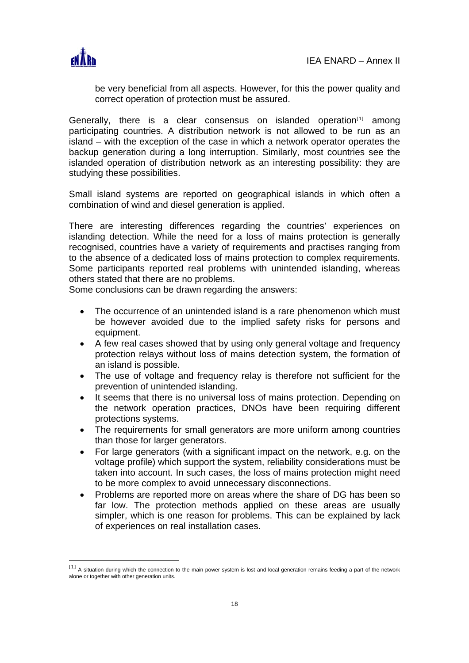

be very beneficial from all aspects. However, for this the power quality and correct operation of protection must be assured.

Generally, there is a clear consensus on islanded operation $[1]$  among participating countries. A distribution network is not allowed to be run as an island – with the exception of the case in which a network operator operates the backup generation during a long interruption. Similarly, most countries see the islanded operation of distribution network as an interesting possibility: they are studying these possibilities.

Small island systems are reported on geographical islands in which often a combination of wind and diesel generation is applied.

There are interesting differences regarding the countries' experiences on islanding detection. While the need for a loss of mains protection is generally recognised, countries have a variety of requirements and practises ranging from to the absence of a dedicated loss of mains protection to complex requirements. Some participants reported real problems with unintended islanding, whereas others stated that there are no problems.

Some conclusions can be drawn regarding the answers:

- The occurrence of an unintended island is a rare phenomenon which must be however avoided due to the implied safety risks for persons and equipment.
- A few real cases showed that by using only general voltage and frequency protection relays without loss of mains detection system, the formation of an island is possible.
- The use of voltage and frequency relay is therefore not sufficient for the prevention of unintended islanding.
- It seems that there is no universal loss of mains protection. Depending on the network operation practices, DNOs have been requiring different protections systems.
- The requirements for small generators are more uniform among countries than those for larger generators.
- For large generators (with a significant impact on the network, e.g. on the voltage profile) which support the system, reliability considerations must be taken into account. In such cases, the loss of mains protection might need to be more complex to avoid unnecessary disconnections.
- Problems are reported more on areas where the share of DG has been so far low. The protection methods applied on these areas are usually simpler, which is one reason for problems. This can be explained by lack of experiences on real installation cases.

<sup>[1]</sup> A situation during which the connection to the main power system is lost and local generation remains feeding a part of the network alone or together with other generation units.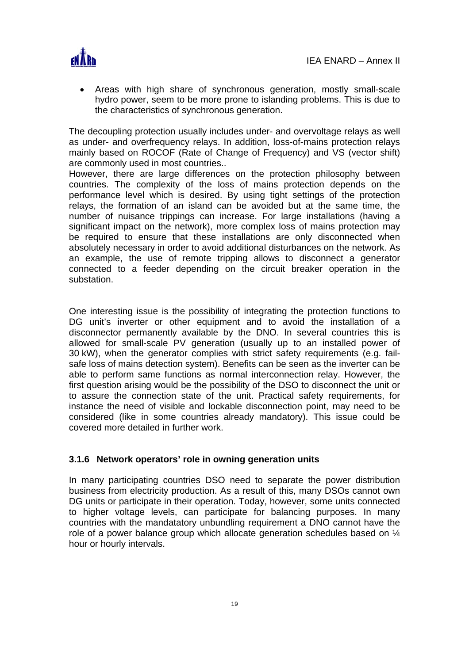

• Areas with high share of synchronous generation, mostly small-scale hydro power, seem to be more prone to islanding problems. This is due to the characteristics of synchronous generation.

The decoupling protection usually includes under- and overvoltage relays as well as under- and overfrequency relays. In addition, loss-of-mains protection relays mainly based on ROCOF (Rate of Change of Frequency) and VS (vector shift) are commonly used in most countries..

However, there are large differences on the protection philosophy between countries. The complexity of the loss of mains protection depends on the performance level which is desired. By using tight settings of the protection relays, the formation of an island can be avoided but at the same time, the number of nuisance trippings can increase. For large installations (having a significant impact on the network), more complex loss of mains protection may be required to ensure that these installations are only disconnected when absolutely necessary in order to avoid additional disturbances on the network. As an example, the use of remote tripping allows to disconnect a generator connected to a feeder depending on the circuit breaker operation in the substation.

One interesting issue is the possibility of integrating the protection functions to DG unit's inverter or other equipment and to avoid the installation of a disconnector permanently available by the DNO. In several countries this is allowed for small-scale PV generation (usually up to an installed power of 30 kW), when the generator complies with strict safety requirements (e.g. failsafe loss of mains detection system). Benefits can be seen as the inverter can be able to perform same functions as normal interconnection relay. However, the first question arising would be the possibility of the DSO to disconnect the unit or to assure the connection state of the unit. Practical safety requirements, for instance the need of visible and lockable disconnection point, may need to be considered (like in some countries already mandatory). This issue could be covered more detailed in further work.

# **3.1.6 Network operators' role in owning generation units**

In many participating countries DSO need to separate the power distribution business from electricity production. As a result of this, many DSOs cannot own DG units or participate in their operation. Today, however, some units connected to higher voltage levels, can participate for balancing purposes. In many countries with the mandatatory unbundling requirement a DNO cannot have the role of a power balance group which allocate generation schedules based on ¼ hour or hourly intervals.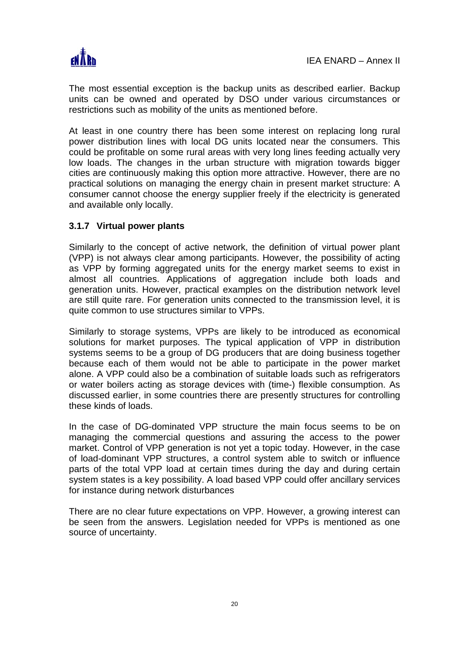

The most essential exception is the backup units as described earlier. Backup units can be owned and operated by DSO under various circumstances or restrictions such as mobility of the units as mentioned before.

At least in one country there has been some interest on replacing long rural power distribution lines with local DG units located near the consumers. This could be profitable on some rural areas with very long lines feeding actually very low loads. The changes in the urban structure with migration towards bigger cities are continuously making this option more attractive. However, there are no practical solutions on managing the energy chain in present market structure: A consumer cannot choose the energy supplier freely if the electricity is generated and available only locally.

# **3.1.7 Virtual power plants**

Similarly to the concept of active network, the definition of virtual power plant (VPP) is not always clear among participants. However, the possibility of acting as VPP by forming aggregated units for the energy market seems to exist in almost all countries. Applications of aggregation include both loads and generation units. However, practical examples on the distribution network level are still quite rare. For generation units connected to the transmission level, it is quite common to use structures similar to VPPs.

Similarly to storage systems, VPPs are likely to be introduced as economical solutions for market purposes. The typical application of VPP in distribution systems seems to be a group of DG producers that are doing business together because each of them would not be able to participate in the power market alone. A VPP could also be a combination of suitable loads such as refrigerators or water boilers acting as storage devices with (time-) flexible consumption. As discussed earlier, in some countries there are presently structures for controlling these kinds of loads.

In the case of DG-dominated VPP structure the main focus seems to be on managing the commercial questions and assuring the access to the power market. Control of VPP generation is not yet a topic today. However, in the case of load-dominant VPP structures, a control system able to switch or influence parts of the total VPP load at certain times during the day and during certain system states is a key possibility. A load based VPP could offer ancillary services for instance during network disturbances

There are no clear future expectations on VPP. However, a growing interest can be seen from the answers. Legislation needed for VPPs is mentioned as one source of uncertainty.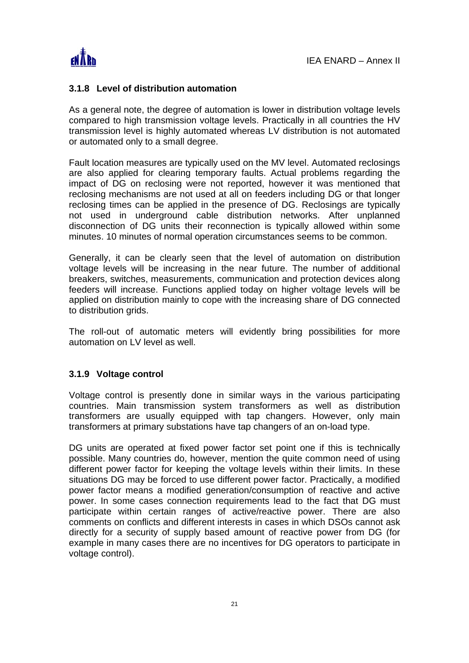

#### **3.1.8 Level of distribution automation**

As a general note, the degree of automation is lower in distribution voltage levels compared to high transmission voltage levels. Practically in all countries the HV transmission level is highly automated whereas LV distribution is not automated or automated only to a small degree.

Fault location measures are typically used on the MV level. Automated reclosings are also applied for clearing temporary faults. Actual problems regarding the impact of DG on reclosing were not reported, however it was mentioned that reclosing mechanisms are not used at all on feeders including DG or that longer reclosing times can be applied in the presence of DG. Reclosings are typically not used in underground cable distribution networks. After unplanned disconnection of DG units their reconnection is typically allowed within some minutes. 10 minutes of normal operation circumstances seems to be common.

Generally, it can be clearly seen that the level of automation on distribution voltage levels will be increasing in the near future. The number of additional breakers, switches, measurements, communication and protection devices along feeders will increase. Functions applied today on higher voltage levels will be applied on distribution mainly to cope with the increasing share of DG connected to distribution grids.

The roll-out of automatic meters will evidently bring possibilities for more automation on LV level as well.

#### **3.1.9 Voltage control**

Voltage control is presently done in similar ways in the various participating countries. Main transmission system transformers as well as distribution transformers are usually equipped with tap changers. However, only main transformers at primary substations have tap changers of an on-load type.

DG units are operated at fixed power factor set point one if this is technically possible. Many countries do, however, mention the quite common need of using different power factor for keeping the voltage levels within their limits. In these situations DG may be forced to use different power factor. Practically, a modified power factor means a modified generation/consumption of reactive and active power. In some cases connection requirements lead to the fact that DG must participate within certain ranges of active/reactive power. There are also comments on conflicts and different interests in cases in which DSOs cannot ask directly for a security of supply based amount of reactive power from DG (for example in many cases there are no incentives for DG operators to participate in voltage control).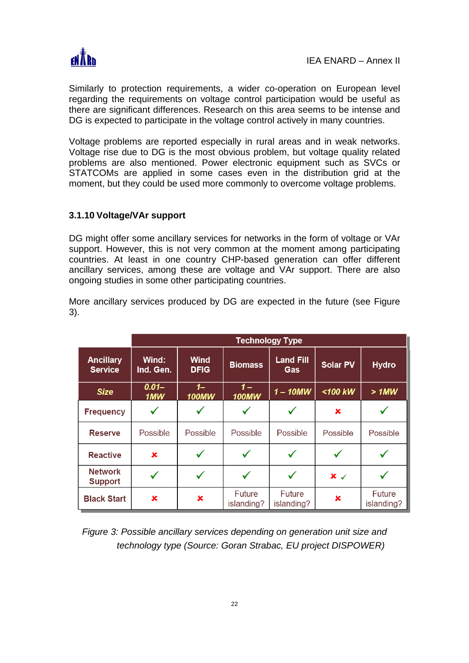

Similarly to protection requirements, a wider co-operation on European level regarding the requirements on voltage control participation would be useful as there are significant differences. Research on this area seems to be intense and DG is expected to participate in the voltage control actively in many countries.

Voltage problems are reported especially in rural areas and in weak networks. Voltage rise due to DG is the most obvious problem, but voltage quality related problems are also mentioned. Power electronic equipment such as SVCs or STATCOMs are applied in some cases even in the distribution grid at the moment, but they could be used more commonly to overcome voltage problems.

# **3.1.10 Voltage/VAr support**

DG might offer some ancillary services for networks in the form of voltage or VAr support. However, this is not very common at the moment among participating countries. At least in one country CHP-based generation can offer different ancillary services, among these are voltage and VAr support. There are also ongoing studies in some other participating countries.

More ancillary services produced by DG are expected in the future (see Figure 3).

|                                    | <b>Technology Type</b> |                      |                       |                         |                       |                             |  |  |  |  |
|------------------------------------|------------------------|----------------------|-----------------------|-------------------------|-----------------------|-----------------------------|--|--|--|--|
| <b>Ancillary</b><br><b>Service</b> | Wind:<br>Ind. Gen.     | Wind<br><b>DFIG</b>  | <b>Biomass</b>        | <b>Land Fill</b><br>Gas |                       | <b>Hydro</b>                |  |  |  |  |
| <b>Size</b>                        | $0.01 -$<br>1MW        | $1-$<br><b>100MW</b> | $1 -$<br><b>100MW</b> |                         | $1 - 10MW$<br><100 kW |                             |  |  |  |  |
| <b>Frequency</b>                   |                        |                      |                       |                         | ×                     |                             |  |  |  |  |
| <b>Reserve</b>                     | Possible               | Possible             | Possible              | Possible                | Possible              | Possible                    |  |  |  |  |
| <b>Reactive</b>                    | ×                      |                      |                       |                         |                       |                             |  |  |  |  |
| <b>Network</b><br><b>Support</b>   |                        |                      |                       |                         | $x \checkmark$        |                             |  |  |  |  |
| <b>Black Start</b><br>×            |                        | ×                    | Future<br>islanding?  | Future<br>islanding?    | ×                     | <b>Future</b><br>islanding? |  |  |  |  |

*Figure 3: Possible ancillary services depending on generation unit size and technology type (Source: Goran Strabac, EU project DISPOWER)*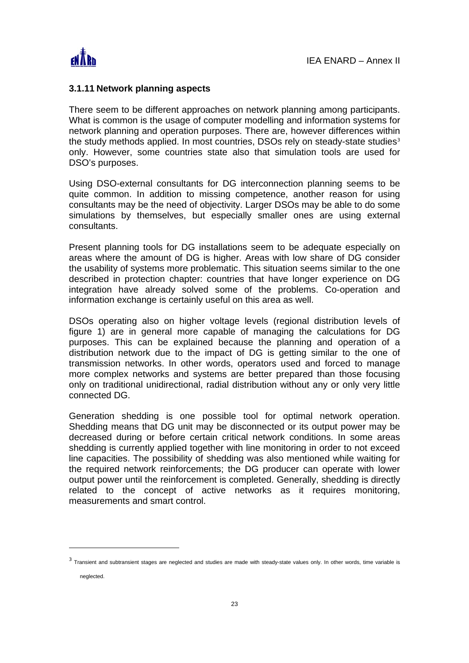

 $\overline{a}$ 

#### **3.1.11 Network planning aspects**

There seem to be different approaches on network planning among participants. What is common is the usage of computer modelling and information systems for network planning and operation purposes. There are, however differences within the study methods applied. In most countries, DSOs rely on steady-state studies<sup>3</sup> only. However, some countries state also that simulation tools are used for DSO's purposes.

Using DSO-external consultants for DG interconnection planning seems to be quite common. In addition to missing competence, another reason for using consultants may be the need of objectivity. Larger DSOs may be able to do some simulations by themselves, but especially smaller ones are using external consultants.

Present planning tools for DG installations seem to be adequate especially on areas where the amount of DG is higher. Areas with low share of DG consider the usability of systems more problematic. This situation seems similar to the one described in protection chapter: countries that have longer experience on DG integration have already solved some of the problems. Co-operation and information exchange is certainly useful on this area as well.

DSOs operating also on higher voltage levels (regional distribution levels of figure 1) are in general more capable of managing the calculations for DG purposes. This can be explained because the planning and operation of a distribution network due to the impact of DG is getting similar to the one of transmission networks. In other words, operators used and forced to manage more complex networks and systems are better prepared than those focusing only on traditional unidirectional, radial distribution without any or only very little connected DG.

Generation shedding is one possible tool for optimal network operation. Shedding means that DG unit may be disconnected or its output power may be decreased during or before certain critical network conditions. In some areas shedding is currently applied together with line monitoring in order to not exceed line capacities. The possibility of shedding was also mentioned while waiting for the required network reinforcements; the DG producer can operate with lower output power until the reinforcement is completed. Generally, shedding is directly related to the concept of active networks as it requires monitoring, measurements and smart control.

 $3$  Transient and subtransient stages are neglected and studies are made with steady-state values only. In other words, time variable is neglected.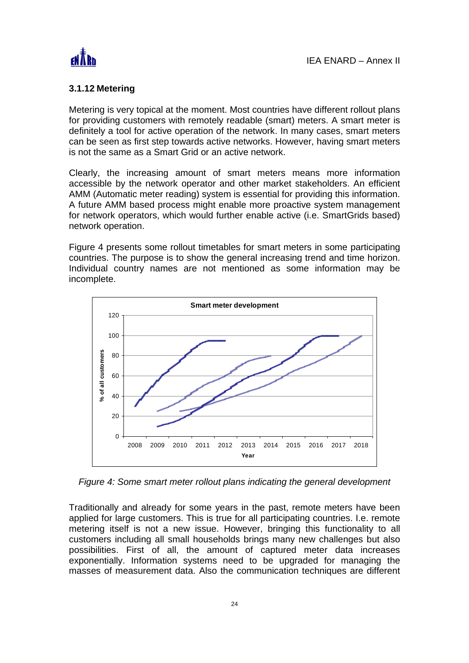

# **3.1.12 Metering**

Metering is very topical at the moment. Most countries have different rollout plans for providing customers with remotely readable (smart) meters. A smart meter is definitely a tool for active operation of the network. In many cases, smart meters can be seen as first step towards active networks. However, having smart meters is not the same as a Smart Grid or an active network.

Clearly, the increasing amount of smart meters means more information accessible by the network operator and other market stakeholders. An efficient AMM (Automatic meter reading) system is essential for providing this information. A future AMM based process might enable more proactive system management for network operators, which would further enable active (i.e. SmartGrids based) network operation.

Figure 4 presents some rollout timetables for smart meters in some participating countries. The purpose is to show the general increasing trend and time horizon. Individual country names are not mentioned as some information may be incomplete.



*Figure 4: Some smart meter rollout plans indicating the general development* 

Traditionally and already for some years in the past, remote meters have been applied for large customers. This is true for all participating countries. I.e. remote metering itself is not a new issue. However, bringing this functionality to all customers including all small households brings many new challenges but also possibilities. First of all, the amount of captured meter data increases exponentially. Information systems need to be upgraded for managing the masses of measurement data. Also the communication techniques are different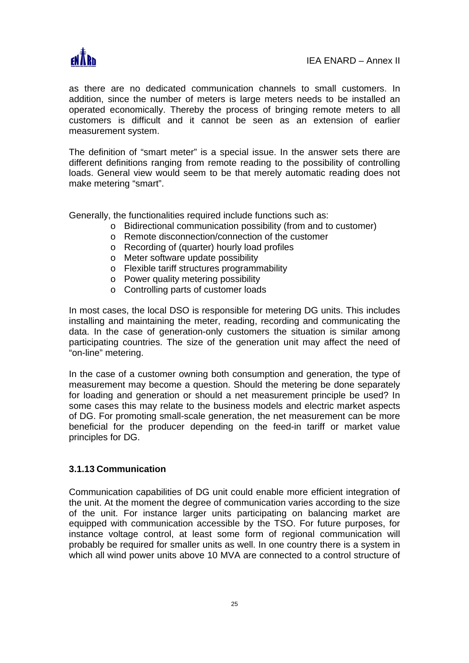

as there are no dedicated communication channels to small customers. In addition, since the number of meters is large meters needs to be installed an operated economically. Thereby the process of bringing remote meters to all customers is difficult and it cannot be seen as an extension of earlier measurement system.

The definition of "smart meter" is a special issue. In the answer sets there are different definitions ranging from remote reading to the possibility of controlling loads. General view would seem to be that merely automatic reading does not make metering "smart".

Generally, the functionalities required include functions such as:

- o Bidirectional communication possibility (from and to customer)
- o Remote disconnection/connection of the customer
- o Recording of (quarter) hourly load profiles
- o Meter software update possibility
- o Flexible tariff structures programmability
- o Power quality metering possibility
- o Controlling parts of customer loads

In most cases, the local DSO is responsible for metering DG units. This includes installing and maintaining the meter, reading, recording and communicating the data. In the case of generation-only customers the situation is similar among participating countries. The size of the generation unit may affect the need of "on-line" metering.

In the case of a customer owning both consumption and generation, the type of measurement may become a question. Should the metering be done separately for loading and generation or should a net measurement principle be used? In some cases this may relate to the business models and electric market aspects of DG. For promoting small-scale generation, the net measurement can be more beneficial for the producer depending on the feed-in tariff or market value principles for DG.

#### **3.1.13 Communication**

Communication capabilities of DG unit could enable more efficient integration of the unit. At the moment the degree of communication varies according to the size of the unit. For instance larger units participating on balancing market are equipped with communication accessible by the TSO. For future purposes, for instance voltage control, at least some form of regional communication will probably be required for smaller units as well. In one country there is a system in which all wind power units above 10 MVA are connected to a control structure of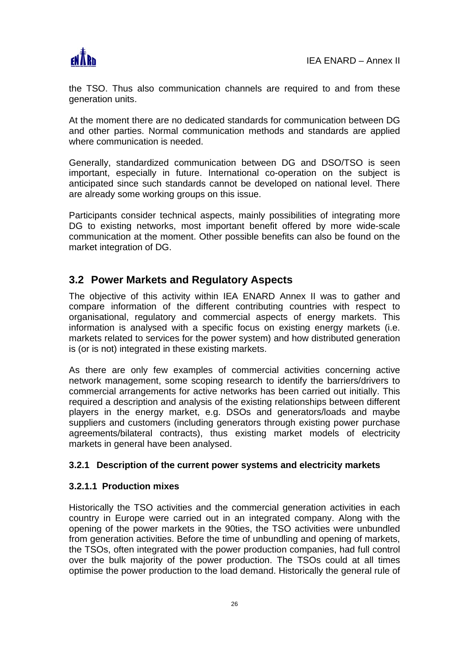

the TSO. Thus also communication channels are required to and from these generation units.

At the moment there are no dedicated standards for communication between DG and other parties. Normal communication methods and standards are applied where communication is needed.

Generally, standardized communication between DG and DSO/TSO is seen important, especially in future. International co-operation on the subject is anticipated since such standards cannot be developed on national level. There are already some working groups on this issue.

Participants consider technical aspects, mainly possibilities of integrating more DG to existing networks, most important benefit offered by more wide-scale communication at the moment. Other possible benefits can also be found on the market integration of DG.

# **3.2 Power Markets and Regulatory Aspects**

The objective of this activity within IEA ENARD Annex II was to gather and compare information of the different contributing countries with respect to organisational, regulatory and commercial aspects of energy markets. This information is analysed with a specific focus on existing energy markets (i.e. markets related to services for the power system) and how distributed generation is (or is not) integrated in these existing markets.

As there are only few examples of commercial activities concerning active network management, some scoping research to identify the barriers/drivers to commercial arrangements for active networks has been carried out initially. This required a description and analysis of the existing relationships between different players in the energy market, e.g. DSOs and generators/loads and maybe suppliers and customers (including generators through existing power purchase agreements/bilateral contracts), thus existing market models of electricity markets in general have been analysed.

# **3.2.1 Description of the current power systems and electricity markets**

# **3.2.1.1 Production mixes**

Historically the TSO activities and the commercial generation activities in each country in Europe were carried out in an integrated company. Along with the opening of the power markets in the 90ties, the TSO activities were unbundled from generation activities. Before the time of unbundling and opening of markets, the TSOs, often integrated with the power production companies, had full control over the bulk majority of the power production. The TSOs could at all times optimise the power production to the load demand. Historically the general rule of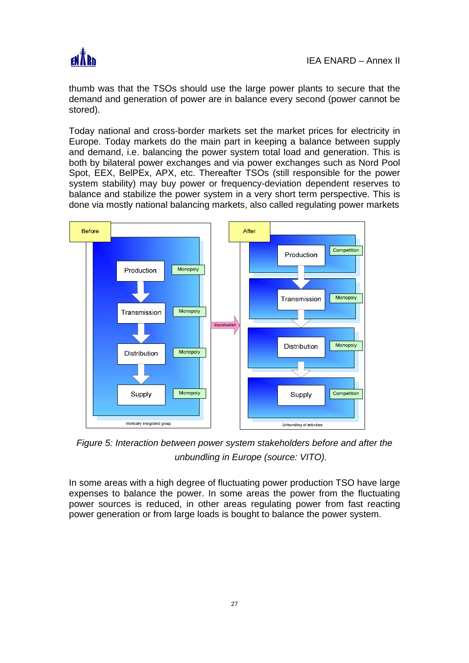

thumb was that the TSOs should use the large power plants to secure that the demand and generation of power are in balance every second (power cannot be stored).

Today national and cross-border markets set the market prices for electricity in Europe. Today markets do the main part in keeping a balance between supply and demand, i.e. balancing the power system total load and generation. This is both by bilateral power exchanges and via power exchanges such as Nord Pool Spot, EEX, BelPEx, APX, etc. Thereafter TSOs (still responsible for the power system stability) may buy power or frequency-deviation dependent reserves to balance and stabilize the power system in a very short term perspective. This is done via mostly national balancing markets, also called regulating power markets



*Figure 5: Interaction between power system stakeholders before and after the unbundling in Europe (source: VITO).* 

In some areas with a high degree of fluctuating power production TSO have large expenses to balance the power. In some areas the power from the fluctuating power sources is reduced, in other areas regulating power from fast reacting power generation or from large loads is bought to balance the power system.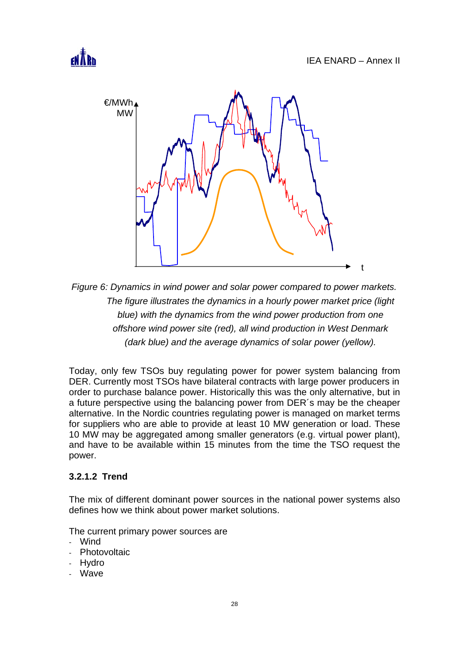



*Figure 6: Dynamics in wind power and solar power compared to power markets. The figure illustrates the dynamics in a hourly power market price (light blue) with the dynamics from the wind power production from one offshore wind power site (red), all wind production in West Denmark (dark blue) and the average dynamics of solar power (yellow).* 

Today, only few TSOs buy regulating power for power system balancing from DER. Currently most TSOs have bilateral contracts with large power producers in order to purchase balance power. Historically this was the only alternative, but in a future perspective using the balancing power from DER´s may be the cheaper alternative. In the Nordic countries regulating power is managed on market terms for suppliers who are able to provide at least 10 MW generation or load. These 10 MW may be aggregated among smaller generators (e.g. virtual power plant), and have to be available within 15 minutes from the time the TSO request the power.

# **3.2.1.2 Trend**

The mix of different dominant power sources in the national power systems also defines how we think about power market solutions.

The current primary power sources are

- Wind
- Photovoltaic
- **Hydro**
- Wave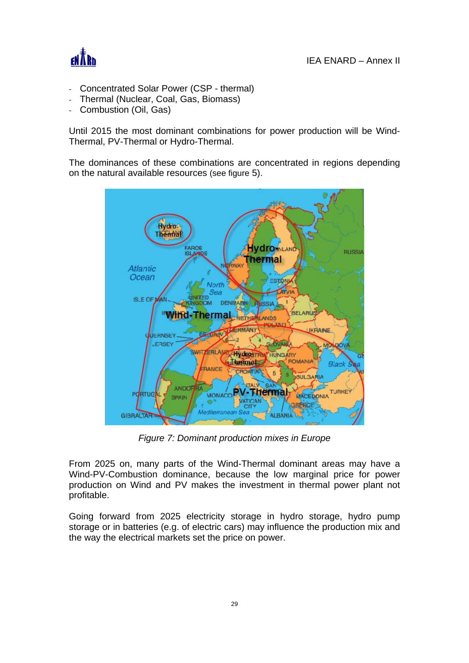

- Concentrated Solar Power (CSP thermal)
- Thermal (Nuclear, Coal, Gas, Biomass)
- Combustion (Oil, Gas)

Until 2015 the most dominant combinations for power production will be Wind-Thermal, PV-Thermal or Hydro-Thermal.

The dominances of these combinations are concentrated in regions depending on the natural available resources (see figure 5).



*Figure 7: Dominant production mixes in Europe* 

From 2025 on, many parts of the Wind-Thermal dominant areas may have a Wind-PV-Combustion dominance, because the low marginal price for power production on Wind and PV makes the investment in thermal power plant not profitable.

Going forward from 2025 electricity storage in hydro storage, hydro pump storage or in batteries (e.g. of electric cars) may influence the production mix and the way the electrical markets set the price on power.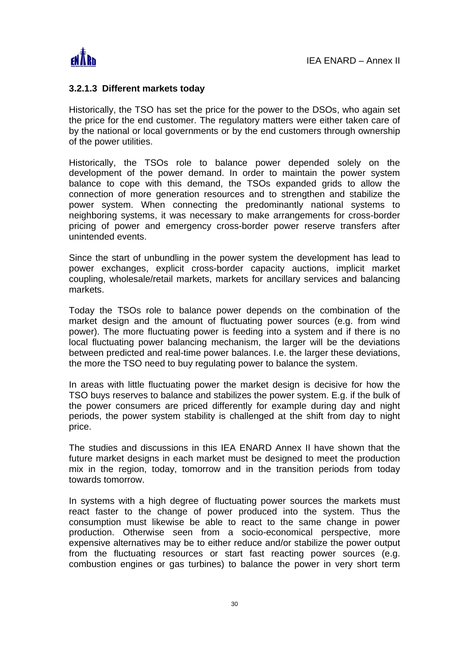

#### **3.2.1.3 Different markets today**

Historically, the TSO has set the price for the power to the DSOs, who again set the price for the end customer. The regulatory matters were either taken care of by the national or local governments or by the end customers through ownership of the power utilities.

Historically, the TSOs role to balance power depended solely on the development of the power demand. In order to maintain the power system balance to cope with this demand, the TSOs expanded grids to allow the connection of more generation resources and to strengthen and stabilize the power system. When connecting the predominantly national systems to neighboring systems, it was necessary to make arrangements for cross-border pricing of power and emergency cross-border power reserve transfers after unintended events.

Since the start of unbundling in the power system the development has lead to power exchanges, explicit cross-border capacity auctions, implicit market coupling, wholesale/retail markets, markets for ancillary services and balancing markets.

Today the TSOs role to balance power depends on the combination of the market design and the amount of fluctuating power sources (e.g. from wind power). The more fluctuating power is feeding into a system and if there is no local fluctuating power balancing mechanism, the larger will be the deviations between predicted and real-time power balances. I.e. the larger these deviations, the more the TSO need to buy regulating power to balance the system.

In areas with little fluctuating power the market design is decisive for how the TSO buys reserves to balance and stabilizes the power system. E.g. if the bulk of the power consumers are priced differently for example during day and night periods, the power system stability is challenged at the shift from day to night price.

The studies and discussions in this IEA ENARD Annex II have shown that the future market designs in each market must be designed to meet the production mix in the region, today, tomorrow and in the transition periods from today towards tomorrow.

In systems with a high degree of fluctuating power sources the markets must react faster to the change of power produced into the system. Thus the consumption must likewise be able to react to the same change in power production. Otherwise seen from a socio-economical perspective, more expensive alternatives may be to either reduce and/or stabilize the power output from the fluctuating resources or start fast reacting power sources (e.g. combustion engines or gas turbines) to balance the power in very short term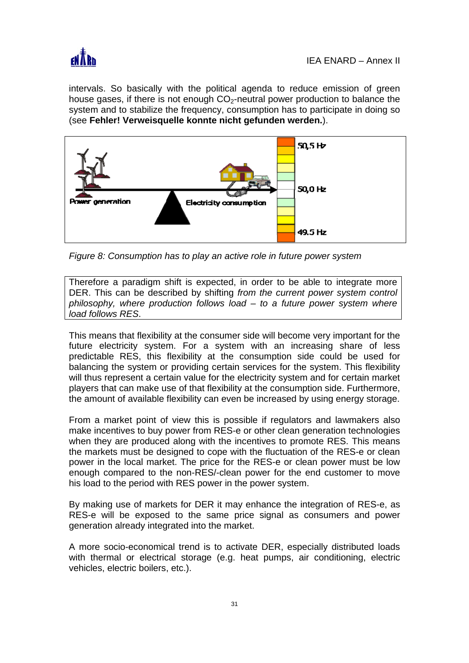

intervals. So basically with the political agenda to reduce emission of green house gases, if there is not enough  $CO<sub>2</sub>$ -neutral power production to balance the system and to stabilize the frequency, consumption has to participate in doing so (see **Fehler! Verweisquelle konnte nicht gefunden werden.**).



*Figure 8: Consumption has to play an active role in future power system* 

Therefore a paradigm shift is expected, in order to be able to integrate more DER. This can be described by shifting *from the current power system control philosophy, where production follows load – to a future power system where load follows RES*.

This means that flexibility at the consumer side will become very important for the future electricity system. For a system with an increasing share of less predictable RES, this flexibility at the consumption side could be used for balancing the system or providing certain services for the system. This flexibility will thus represent a certain value for the electricity system and for certain market players that can make use of that flexibility at the consumption side. Furthermore, the amount of available flexibility can even be increased by using energy storage.

From a market point of view this is possible if regulators and lawmakers also make incentives to buy power from RES-e or other clean generation technologies when they are produced along with the incentives to promote RES. This means the markets must be designed to cope with the fluctuation of the RES-e or clean power in the local market. The price for the RES-e or clean power must be low enough compared to the non-RES/-clean power for the end customer to move his load to the period with RES power in the power system.

By making use of markets for DER it may enhance the integration of RES-e, as RES-e will be exposed to the same price signal as consumers and power generation already integrated into the market.

A more socio-economical trend is to activate DER, especially distributed loads with thermal or electrical storage (e.g. heat pumps, air conditioning, electric vehicles, electric boilers, etc.).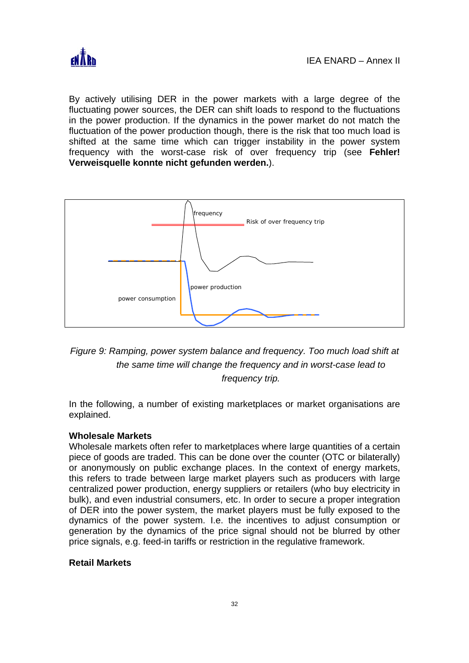

By actively utilising DER in the power markets with a large degree of the fluctuating power sources, the DER can shift loads to respond to the fluctuations in the power production. If the dynamics in the power market do not match the fluctuation of the power production though, there is the risk that too much load is shifted at the same time which can trigger instability in the power system frequency with the worst-case risk of over frequency trip (see **Fehler! Verweisquelle konnte nicht gefunden werden.**).



# *Figure 9: Ramping, power system balance and frequency. Too much load shift at the same time will change the frequency and in worst-case lead to frequency trip.*

In the following, a number of existing marketplaces or market organisations are explained.

#### **Wholesale Markets**

Wholesale markets often refer to marketplaces where large quantities of a certain piece of goods are traded. This can be done over the counter (OTC or bilaterally) or anonymously on public exchange places. In the context of energy markets, this refers to trade between large market players such as producers with large centralized power production, energy suppliers or retailers (who buy electricity in bulk), and even industrial consumers, etc. In order to secure a proper integration of DER into the power system, the market players must be fully exposed to the dynamics of the power system. I.e. the incentives to adjust consumption or generation by the dynamics of the price signal should not be blurred by other price signals, e.g. feed-in tariffs or restriction in the regulative framework.

# **Retail Markets**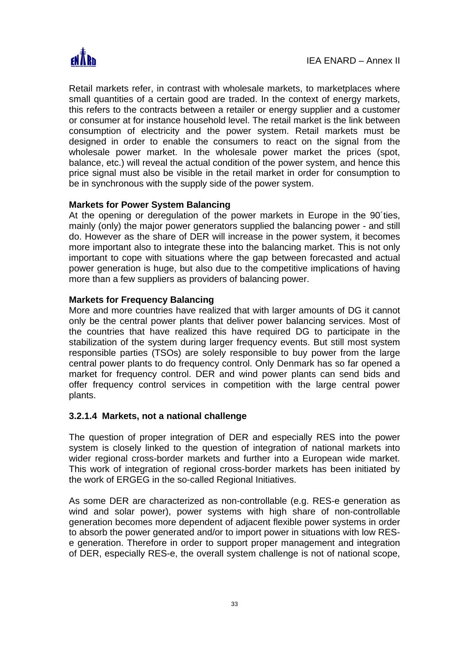

Retail markets refer, in contrast with wholesale markets, to marketplaces where small quantities of a certain good are traded. In the context of energy markets, this refers to the contracts between a retailer or energy supplier and a customer or consumer at for instance household level. The retail market is the link between consumption of electricity and the power system. Retail markets must be designed in order to enable the consumers to react on the signal from the wholesale power market. In the wholesale power market the prices (spot, balance, etc.) will reveal the actual condition of the power system, and hence this price signal must also be visible in the retail market in order for consumption to be in synchronous with the supply side of the power system.

#### **Markets for Power System Balancing**

At the opening or deregulation of the power markets in Europe in the 90'ties, mainly (only) the major power generators supplied the balancing power - and still do. However as the share of DER will increase in the power system, it becomes more important also to integrate these into the balancing market. This is not only important to cope with situations where the gap between forecasted and actual power generation is huge, but also due to the competitive implications of having more than a few suppliers as providers of balancing power.

#### **Markets for Frequency Balancing**

More and more countries have realized that with larger amounts of DG it cannot only be the central power plants that deliver power balancing services. Most of the countries that have realized this have required DG to participate in the stabilization of the system during larger frequency events. But still most system responsible parties (TSOs) are solely responsible to buy power from the large central power plants to do frequency control. Only Denmark has so far opened a market for frequency control. DER and wind power plants can send bids and offer frequency control services in competition with the large central power plants.

#### **3.2.1.4 Markets, not a national challenge**

The question of proper integration of DER and especially RES into the power system is closely linked to the question of integration of national markets into wider regional cross-border markets and further into a European wide market. This work of integration of regional cross-border markets has been initiated by the work of ERGEG in the so-called Regional Initiatives.

As some DER are characterized as non-controllable (e.g. RES-e generation as wind and solar power), power systems with high share of non-controllable generation becomes more dependent of adjacent flexible power systems in order to absorb the power generated and/or to import power in situations with low RESe generation. Therefore in order to support proper management and integration of DER, especially RES-e, the overall system challenge is not of national scope,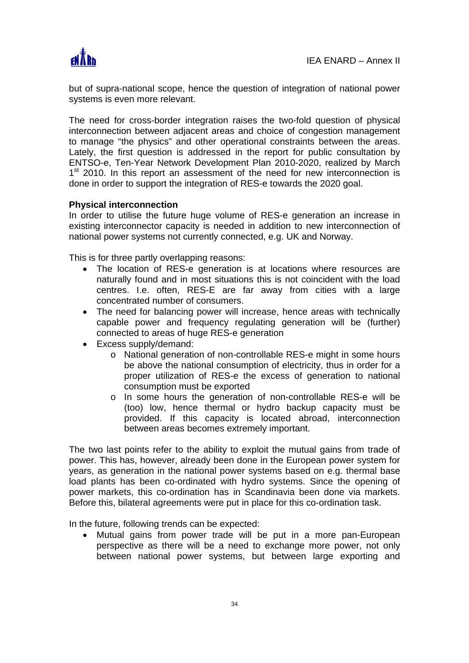

but of supra-national scope, hence the question of integration of national power systems is even more relevant.

The need for cross-border integration raises the two-fold question of physical interconnection between adjacent areas and choice of congestion management to manage "the physics" and other operational constraints between the areas. Lately, the first question is addressed in the report for public consultation by ENTSO-e, Ten-Year Network Development Plan 2010-2020, realized by March  $1<sup>st</sup>$  2010. In this report an assessment of the need for new interconnection is done in order to support the integration of RES-e towards the 2020 goal.

#### **Physical interconnection**

In order to utilise the future huge volume of RES-e generation an increase in existing interconnector capacity is needed in addition to new interconnection of national power systems not currently connected, e.g. UK and Norway.

This is for three partly overlapping reasons:

- The location of RES-e generation is at locations where resources are naturally found and in most situations this is not coincident with the load centres. I.e. often, RES-E are far away from cities with a large concentrated number of consumers.
- The need for balancing power will increase, hence areas with technically capable power and frequency regulating generation will be (further) connected to areas of huge RES-e generation
- Excess supply/demand:
	- o National generation of non-controllable RES-e might in some hours be above the national consumption of electricity, thus in order for a proper utilization of RES-e the excess of generation to national consumption must be exported
	- o In some hours the generation of non-controllable RES-e will be (too) low, hence thermal or hydro backup capacity must be provided. If this capacity is located abroad, interconnection between areas becomes extremely important.

The two last points refer to the ability to exploit the mutual gains from trade of power. This has, however, already been done in the European power system for years, as generation in the national power systems based on e.g. thermal base load plants has been co-ordinated with hydro systems. Since the opening of power markets, this co-ordination has in Scandinavia been done via markets. Before this, bilateral agreements were put in place for this co-ordination task.

In the future, following trends can be expected:

• Mutual gains from power trade will be put in a more pan-European perspective as there will be a need to exchange more power, not only between national power systems, but between large exporting and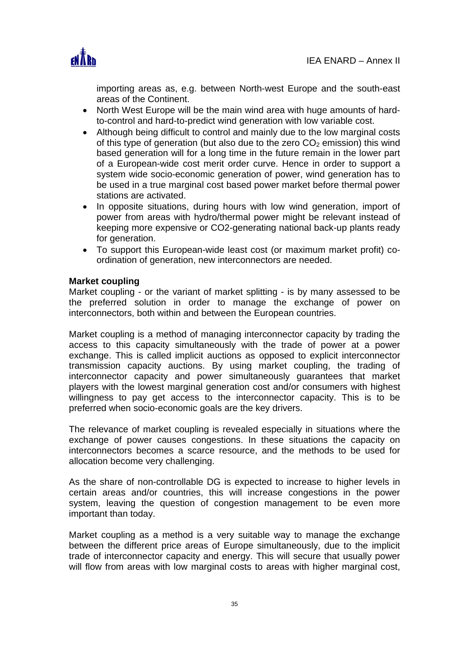

importing areas as, e.g. between North-west Europe and the south-east areas of the Continent.

- North West Europe will be the main wind area with huge amounts of hardto-control and hard-to-predict wind generation with low variable cost.
- Although being difficult to control and mainly due to the low marginal costs of this type of generation (but also due to the zero  $CO<sub>2</sub>$  emission) this wind based generation will for a long time in the future remain in the lower part of a European-wide cost merit order curve. Hence in order to support a system wide socio-economic generation of power, wind generation has to be used in a true marginal cost based power market before thermal power stations are activated.
- In opposite situations, during hours with low wind generation, import of power from areas with hydro/thermal power might be relevant instead of keeping more expensive or CO2-generating national back-up plants ready for generation.
- To support this European-wide least cost (or maximum market profit) coordination of generation, new interconnectors are needed.

#### **Market coupling**

Market coupling - or the variant of market splitting - is by many assessed to be the preferred solution in order to manage the exchange of power on interconnectors, both within and between the European countries.

Market coupling is a method of managing interconnector capacity by trading the access to this capacity simultaneously with the trade of power at a power exchange. This is called implicit auctions as opposed to explicit interconnector transmission capacity auctions. By using market coupling, the trading of interconnector capacity and power simultaneously guarantees that market players with the lowest marginal generation cost and/or consumers with highest willingness to pay get access to the interconnector capacity. This is to be preferred when socio-economic goals are the key drivers.

The relevance of market coupling is revealed especially in situations where the exchange of power causes congestions. In these situations the capacity on interconnectors becomes a scarce resource, and the methods to be used for allocation become very challenging.

As the share of non-controllable DG is expected to increase to higher levels in certain areas and/or countries, this will increase congestions in the power system, leaving the question of congestion management to be even more important than today.

Market coupling as a method is a very suitable way to manage the exchange between the different price areas of Europe simultaneously, due to the implicit trade of interconnector capacity and energy. This will secure that usually power will flow from areas with low marginal costs to areas with higher marginal cost,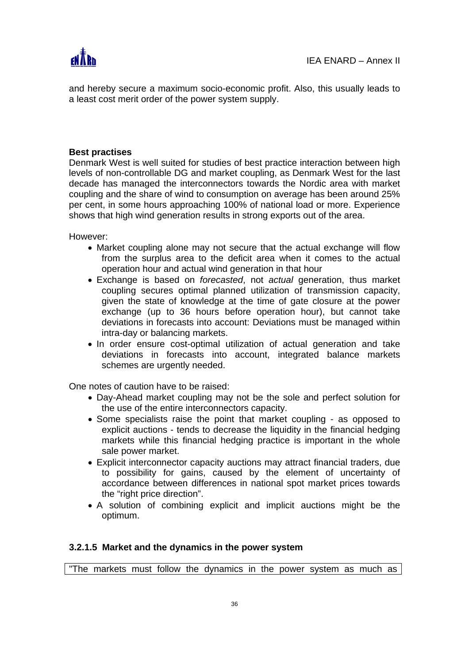

and hereby secure a maximum socio-economic profit. Also, this usually leads to a least cost merit order of the power system supply.

### **Best practises**

Denmark West is well suited for studies of best practice interaction between high levels of non-controllable DG and market coupling, as Denmark West for the last decade has managed the interconnectors towards the Nordic area with market coupling and the share of wind to consumption on average has been around 25% per cent, in some hours approaching 100% of national load or more. Experience shows that high wind generation results in strong exports out of the area.

However:

- Market coupling alone may not secure that the actual exchange will flow from the surplus area to the deficit area when it comes to the actual operation hour and actual wind generation in that hour
- Exchange is based on *forecasted*, not *actual* generation, thus market coupling secures optimal planned utilization of transmission capacity, given the state of knowledge at the time of gate closure at the power exchange (up to 36 hours before operation hour), but cannot take deviations in forecasts into account: Deviations must be managed within intra-day or balancing markets.
- In order ensure cost-optimal utilization of actual generation and take deviations in forecasts into account, integrated balance markets schemes are urgently needed.

One notes of caution have to be raised:

- Day-Ahead market coupling may not be the sole and perfect solution for the use of the entire interconnectors capacity.
- Some specialists raise the point that market coupling as opposed to explicit auctions - tends to decrease the liquidity in the financial hedging markets while this financial hedging practice is important in the whole sale power market.
- Explicit interconnector capacity auctions may attract financial traders, due to possibility for gains, caused by the element of uncertainty of accordance between differences in national spot market prices towards the "right price direction".
- A solution of combining explicit and implicit auctions might be the optimum.

#### **3.2.1.5 Market and the dynamics in the power system**

"The markets must follow the dynamics in the power system as much as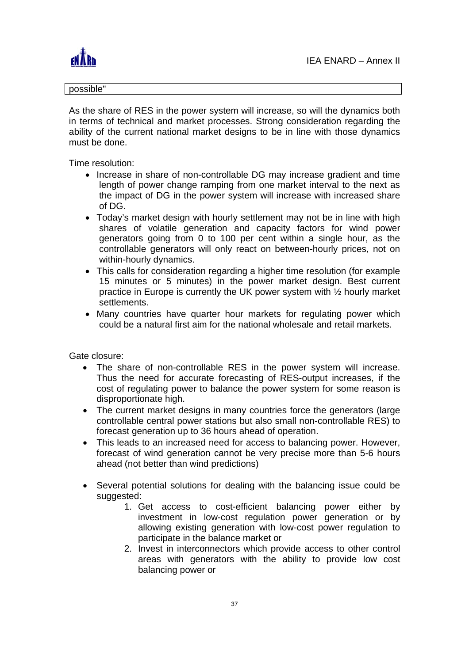

#### possible"

As the share of RES in the power system will increase, so will the dynamics both in terms of technical and market processes. Strong consideration regarding the ability of the current national market designs to be in line with those dynamics must be done.

Time resolution:

- Increase in share of non-controllable DG may increase gradient and time length of power change ramping from one market interval to the next as the impact of DG in the power system will increase with increased share of DG.
- Today's market design with hourly settlement may not be in line with high shares of volatile generation and capacity factors for wind power generators going from 0 to 100 per cent within a single hour, as the controllable generators will only react on between-hourly prices, not on within-hourly dynamics.
- This calls for consideration regarding a higher time resolution (for example 15 minutes or 5 minutes) in the power market design. Best current practice in Europe is currently the UK power system with ½ hourly market settlements.
- Many countries have quarter hour markets for regulating power which could be a natural first aim for the national wholesale and retail markets.

Gate closure:

- The share of non-controllable RES in the power system will increase. Thus the need for accurate forecasting of RES-output increases, if the cost of regulating power to balance the power system for some reason is disproportionate high.
- The current market designs in many countries force the generators (large controllable central power stations but also small non-controllable RES) to forecast generation up to 36 hours ahead of operation.
- This leads to an increased need for access to balancing power. However, forecast of wind generation cannot be very precise more than 5-6 hours ahead (not better than wind predictions)
- Several potential solutions for dealing with the balancing issue could be suggested:
	- 1. Get access to cost-efficient balancing power either by investment in low-cost regulation power generation or by allowing existing generation with low-cost power regulation to participate in the balance market or
	- 2. Invest in interconnectors which provide access to other control areas with generators with the ability to provide low cost balancing power or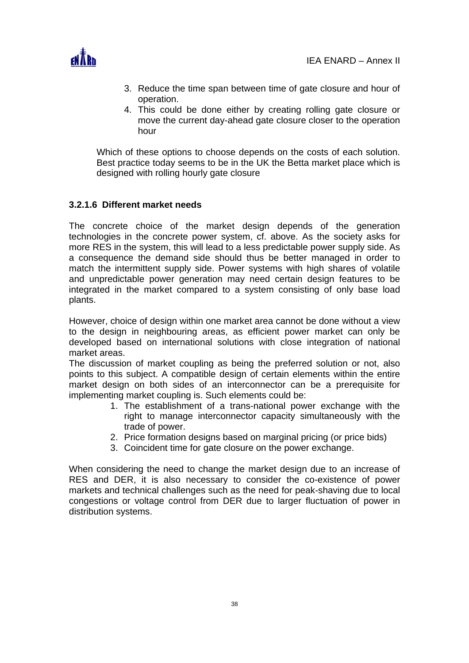

- 3. Reduce the time span between time of gate closure and hour of operation.
- 4. This could be done either by creating rolling gate closure or move the current day-ahead gate closure closer to the operation hour

Which of these options to choose depends on the costs of each solution. Best practice today seems to be in the UK the Betta market place which is designed with rolling hourly gate closure

# **3.2.1.6 Different market needs**

The concrete choice of the market design depends of the generation technologies in the concrete power system, cf. above. As the society asks for more RES in the system, this will lead to a less predictable power supply side. As a consequence the demand side should thus be better managed in order to match the intermittent supply side. Power systems with high shares of volatile and unpredictable power generation may need certain design features to be integrated in the market compared to a system consisting of only base load plants.

However, choice of design within one market area cannot be done without a view to the design in neighbouring areas, as efficient power market can only be developed based on international solutions with close integration of national market areas.

The discussion of market coupling as being the preferred solution or not, also points to this subject. A compatible design of certain elements within the entire market design on both sides of an interconnector can be a prerequisite for implementing market coupling is. Such elements could be:

- 1. The establishment of a trans-national power exchange with the right to manage interconnector capacity simultaneously with the trade of power.
- 2. Price formation designs based on marginal pricing (or price bids)
- 3. Coincident time for gate closure on the power exchange.

When considering the need to change the market design due to an increase of RES and DER, it is also necessary to consider the co-existence of power markets and technical challenges such as the need for peak-shaving due to local congestions or voltage control from DER due to larger fluctuation of power in distribution systems.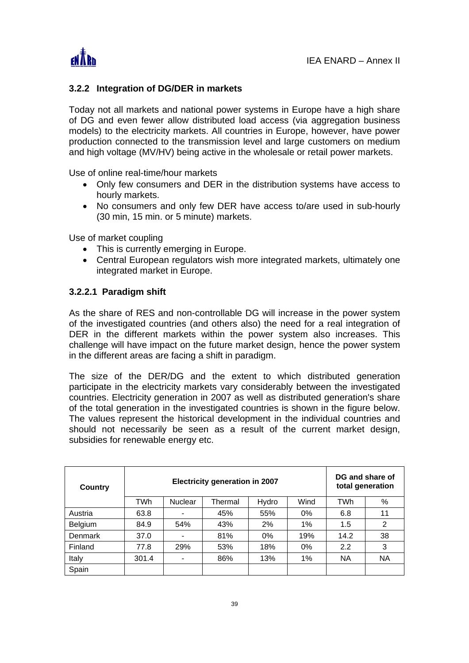

# **3.2.2 Integration of DG/DER in markets**

Today not all markets and national power systems in Europe have a high share of DG and even fewer allow distributed load access (via aggregation business models) to the electricity markets. All countries in Europe, however, have power production connected to the transmission level and large customers on medium and high voltage (MV/HV) being active in the wholesale or retail power markets.

Use of online real-time/hour markets

- Only few consumers and DER in the distribution systems have access to hourly markets.
- No consumers and only few DER have access to/are used in sub-hourly (30 min, 15 min. or 5 minute) markets.

Use of market coupling

- This is currently emerging in Europe.
- Central European regulators wish more integrated markets, ultimately one integrated market in Europe.

# **3.2.2.1 Paradigm shift**

As the share of RES and non-controllable DG will increase in the power system of the investigated countries (and others also) the need for a real integration of DER in the different markets within the power system also increases. This challenge will have impact on the future market design, hence the power system in the different areas are facing a shift in paradigm.

The size of the DER/DG and the extent to which distributed generation participate in the electricity markets vary considerably between the investigated countries. Electricity generation in 2007 as well as distributed generation's share of the total generation in the investigated countries is shown in the figure below. The values represent the historical development in the individual countries and should not necessarily be seen as a result of the current market design, subsidies for renewable energy etc.

| <b>Country</b> |       | <b>Electricity generation in 2007</b> | DG and share of<br>total generation |       |       |            |           |
|----------------|-------|---------------------------------------|-------------------------------------|-------|-------|------------|-----------|
|                | TWh   | <b>Nuclear</b>                        | Thermal                             | Hydro | Wind  | <b>TWh</b> | %         |
| Austria        | 63.8  |                                       | 45%                                 | 55%   | $0\%$ | 6.8        | 11        |
| Belgium        | 84.9  | 54%                                   | 43%                                 | 2%    | 1%    | 1.5        | 2         |
| <b>Denmark</b> | 37.0  |                                       | 81%                                 | $0\%$ | 19%   | 14.2       | 38        |
| Finland        | 77.8  | 29%                                   | 53%                                 | 18%   | $0\%$ | 2.2        | 3         |
| Italy          | 301.4 |                                       | 86%                                 | 13%   | 1%    | <b>NA</b>  | <b>NA</b> |
| Spain          |       |                                       |                                     |       |       |            |           |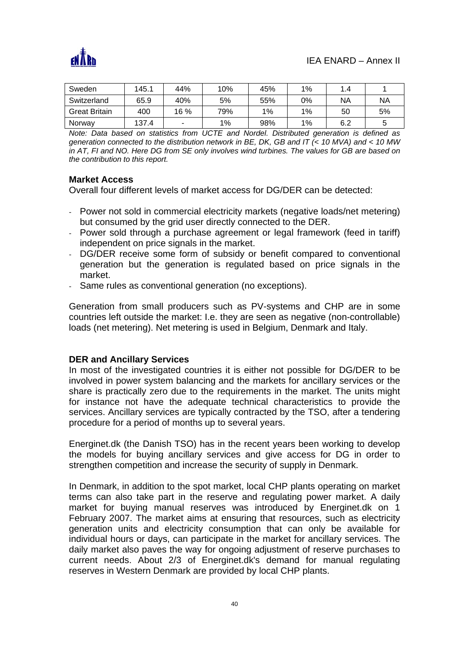

| Sweden               | 145.1 | 44%  | 10% | 45% | 1% | .4  |           |
|----------------------|-------|------|-----|-----|----|-----|-----------|
| Switzerland          | 65.9  | 40%  | 5%  | 55% | 0% | NA  | <b>NA</b> |
| <b>Great Britain</b> | 400   | 16 % | 79% | 1%  | 1% | 50  | 5%        |
| Norway               | 137.4 |      | 1%  | 98% | 1% | 6.2 | ς         |

*Note: Data based on statistics from UCTE and Nordel. Distributed generation is defined as generation connected to the distribution network in BE, DK, GB and IT (< 10 MVA) and < 10 MW in AT, FI and NO. Here DG from SE only involves wind turbines. The values for GB are based on the contribution to this report.* 

#### **Market Access**

Overall four different levels of market access for DG/DER can be detected:

- Power not sold in commercial electricity markets (negative loads/net metering) but consumed by the grid user directly connected to the DER.
- Power sold through a purchase agreement or legal framework (feed in tariff) independent on price signals in the market.
- DG/DER receive some form of subsidy or benefit compared to conventional generation but the generation is regulated based on price signals in the market.
- Same rules as conventional generation (no exceptions).

Generation from small producers such as PV-systems and CHP are in some countries left outside the market: I.e. they are seen as negative (non-controllable) loads (net metering). Net metering is used in Belgium, Denmark and Italy.

#### **DER and Ancillary Services**

In most of the investigated countries it is either not possible for DG/DER to be involved in power system balancing and the markets for ancillary services or the share is practically zero due to the requirements in the market. The units might for instance not have the adequate technical characteristics to provide the services. Ancillary services are typically contracted by the TSO, after a tendering procedure for a period of months up to several years.

Energinet.dk (the Danish TSO) has in the recent years been working to develop the models for buying ancillary services and give access for DG in order to strengthen competition and increase the security of supply in Denmark.

In Denmark, in addition to the spot market, local CHP plants operating on market terms can also take part in the reserve and regulating power market. A daily market for buying manual reserves was introduced by Energinet.dk on 1 February 2007. The market aims at ensuring that resources, such as electricity generation units and electricity consumption that can only be available for individual hours or days, can participate in the market for ancillary services. The daily market also paves the way for ongoing adjustment of reserve purchases to current needs. About 2/3 of Energinet.dk's demand for manual regulating reserves in Western Denmark are provided by local CHP plants.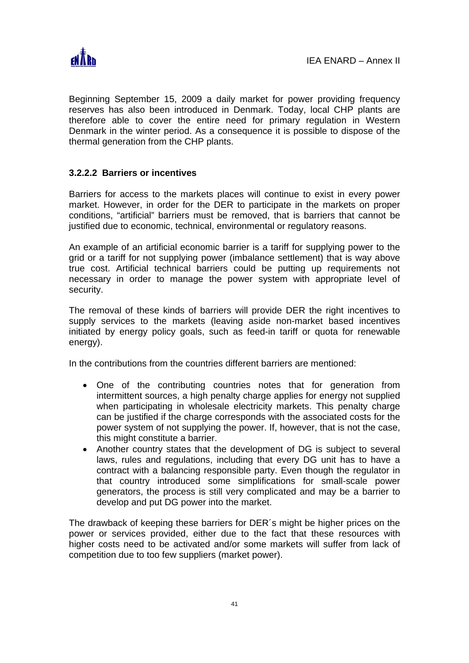

Beginning September 15, 2009 a daily market for power providing frequency reserves has also been introduced in Denmark. Today, local CHP plants are therefore able to cover the entire need for primary regulation in Western Denmark in the winter period. As a consequence it is possible to dispose of the thermal generation from the CHP plants.

# **3.2.2.2 Barriers or incentives**

Barriers for access to the markets places will continue to exist in every power market. However, in order for the DER to participate in the markets on proper conditions, "artificial" barriers must be removed, that is barriers that cannot be justified due to economic, technical, environmental or regulatory reasons.

An example of an artificial economic barrier is a tariff for supplying power to the grid or a tariff for not supplying power (imbalance settlement) that is way above true cost. Artificial technical barriers could be putting up requirements not necessary in order to manage the power system with appropriate level of security.

The removal of these kinds of barriers will provide DER the right incentives to supply services to the markets (leaving aside non-market based incentives initiated by energy policy goals, such as feed-in tariff or quota for renewable energy).

In the contributions from the countries different barriers are mentioned:

- One of the contributing countries notes that for generation from intermittent sources, a high penalty charge applies for energy not supplied when participating in wholesale electricity markets. This penalty charge can be justified if the charge corresponds with the associated costs for the power system of not supplying the power. If, however, that is not the case, this might constitute a barrier.
- Another country states that the development of DG is subject to several laws, rules and regulations, including that every DG unit has to have a contract with a balancing responsible party. Even though the regulator in that country introduced some simplifications for small-scale power generators, the process is still very complicated and may be a barrier to develop and put DG power into the market.

The drawback of keeping these barriers for DER´s might be higher prices on the power or services provided, either due to the fact that these resources with higher costs need to be activated and/or some markets will suffer from lack of competition due to too few suppliers (market power).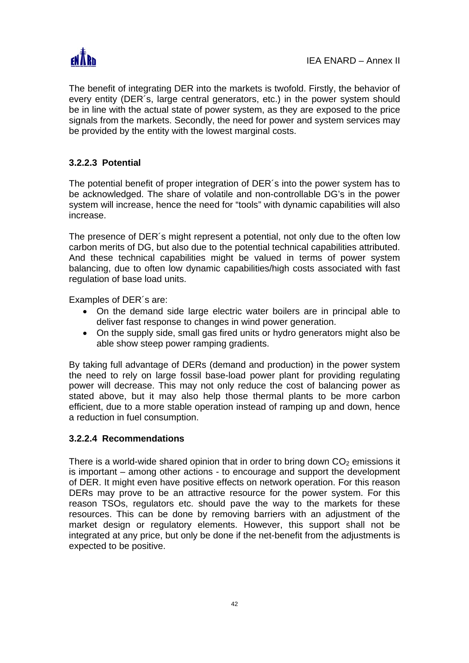

The benefit of integrating DER into the markets is twofold. Firstly, the behavior of every entity (DER´s, large central generators, etc.) in the power system should be in line with the actual state of power system, as they are exposed to the price signals from the markets. Secondly, the need for power and system services may be provided by the entity with the lowest marginal costs.

# **3.2.2.3 Potential**

The potential benefit of proper integration of DER´s into the power system has to be acknowledged. The share of volatile and non-controllable DG's in the power system will increase, hence the need for "tools" with dynamic capabilities will also increase.

The presence of DER´s might represent a potential, not only due to the often low carbon merits of DG, but also due to the potential technical capabilities attributed. And these technical capabilities might be valued in terms of power system balancing, due to often low dynamic capabilities/high costs associated with fast regulation of base load units.

Examples of DER´s are:

- On the demand side large electric water boilers are in principal able to deliver fast response to changes in wind power generation.
- On the supply side, small gas fired units or hydro generators might also be able show steep power ramping gradients.

By taking full advantage of DERs (demand and production) in the power system the need to rely on large fossil base-load power plant for providing regulating power will decrease. This may not only reduce the cost of balancing power as stated above, but it may also help those thermal plants to be more carbon efficient, due to a more stable operation instead of ramping up and down, hence a reduction in fuel consumption.

# **3.2.2.4 Recommendations**

There is a world-wide shared opinion that in order to bring down  $CO<sub>2</sub>$  emissions it is important – among other actions - to encourage and support the development of DER. It might even have positive effects on network operation. For this reason DERs may prove to be an attractive resource for the power system. For this reason TSOs, regulators etc. should pave the way to the markets for these resources. This can be done by removing barriers with an adjustment of the market design or regulatory elements. However, this support shall not be integrated at any price, but only be done if the net-benefit from the adjustments is expected to be positive.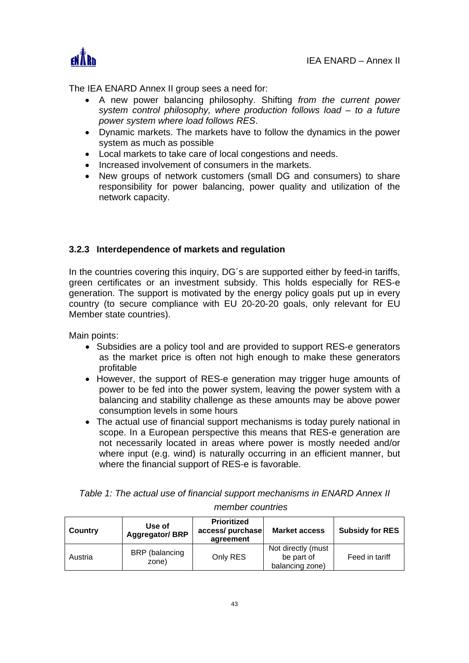

The IEA ENARD Annex II group sees a need for:

- A new power balancing philosophy. Shifting *from the current power system control philosophy, where production follows load – to a future power system where load follows RES*.
- Dynamic markets. The markets have to follow the dynamics in the power system as much as possible
- Local markets to take care of local congestions and needs.
- Increased involvement of consumers in the markets.
- New groups of network customers (small DG and consumers) to share responsibility for power balancing, power quality and utilization of the network capacity.

# **3.2.3 Interdependence of markets and regulation**

In the countries covering this inquiry, DG´s are supported either by feed-in tariffs, green certificates or an investment subsidy. This holds especially for RES-e generation. The support is motivated by the energy policy goals put up in every country (to secure compliance with EU 20-20-20 goals, only relevant for EU Member state countries).

Main points:

- Subsidies are a policy tool and are provided to support RES-e generators as the market price is often not high enough to make these generators profitable
- However, the support of RES-e generation may trigger huge amounts of power to be fed into the power system, leaving the power system with a balancing and stability challenge as these amounts may be above power consumption levels in some hours
- The actual use of financial support mechanisms is today purely national in scope. In a European perspective this means that RES-e generation are not necessarily located in areas where power is mostly needed and/or where input (e.g. wind) is naturally occurring in an efficient manner, but where the financial support of RES-e is favorable.

| Country | Use of<br><b>Aggregator/BRP</b> | <b>Prioritized</b><br>access/ purchase<br>agreement | <b>Market access</b>                                | <b>Subsidy for RES</b> |
|---------|---------------------------------|-----------------------------------------------------|-----------------------------------------------------|------------------------|
| Austria | BRP (balancing<br>zone)         | Only RES                                            | Not directly (must<br>be part of<br>balancing zone) | Feed in tariff         |

*Table 1: The actual use of financial support mechanisms in ENARD Annex II member countries*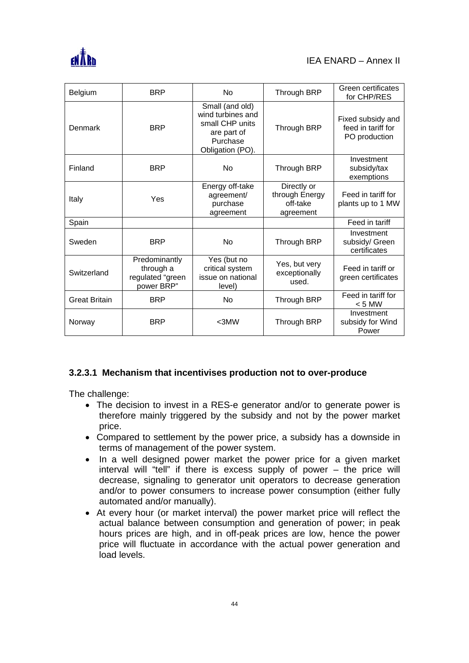

| Belgium              | <b>BRP</b>                                                   | No                                                                                                     | Through BRP                                            | Green certificates<br>for CHP/RES                        |
|----------------------|--------------------------------------------------------------|--------------------------------------------------------------------------------------------------------|--------------------------------------------------------|----------------------------------------------------------|
| Denmark              | <b>BRP</b>                                                   | Small (and old)<br>wind turbines and<br>small CHP units<br>are part of<br>Purchase<br>Obligation (PO). | Through BRP                                            | Fixed subsidy and<br>feed in tariff for<br>PO production |
| Finland              | <b>BRP</b>                                                   | No                                                                                                     | <b>Through BRP</b>                                     | Investment<br>subsidy/tax<br>exemptions                  |
| Italy                | Yes                                                          | Energy off-take<br>agreement/<br>purchase<br>agreement                                                 | Directly or<br>through Energy<br>off-take<br>agreement | Feed in tariff for<br>plants up to 1 MW                  |
| Spain                |                                                              |                                                                                                        |                                                        | Feed in tariff                                           |
| Sweden               | <b>BRP</b>                                                   | <b>No</b>                                                                                              | Through BRP                                            | Investment<br>subsidy/ Green<br>certificates             |
| Switzerland          | Predominantly<br>through a<br>regulated "green<br>power BRP" | Yes (but no<br>critical system<br>issue on national<br>level)                                          | Yes, but very<br>exceptionally<br>used.                | Feed in tariff or<br>green certificates                  |
| <b>Great Britain</b> | <b>BRP</b>                                                   | <b>No</b>                                                                                              | <b>Through BRP</b>                                     | Feed in tariff for<br>$< 5$ MW                           |
| Norway               | <b>BRP</b>                                                   | $<$ 3MW                                                                                                | Through BRP                                            | Investment<br>subsidy for Wind<br>Power                  |

# **3.2.3.1 Mechanism that incentivises production not to over-produce**

The challenge:

- The decision to invest in a RES-e generator and/or to generate power is therefore mainly triggered by the subsidy and not by the power market price.
- Compared to settlement by the power price, a subsidy has a downside in terms of management of the power system.
- In a well designed power market the power price for a given market interval will "tell" if there is excess supply of power – the price will decrease, signaling to generator unit operators to decrease generation and/or to power consumers to increase power consumption (either fully automated and/or manually).
- At every hour (or market interval) the power market price will reflect the actual balance between consumption and generation of power; in peak hours prices are high, and in off-peak prices are low, hence the power price will fluctuate in accordance with the actual power generation and load levels.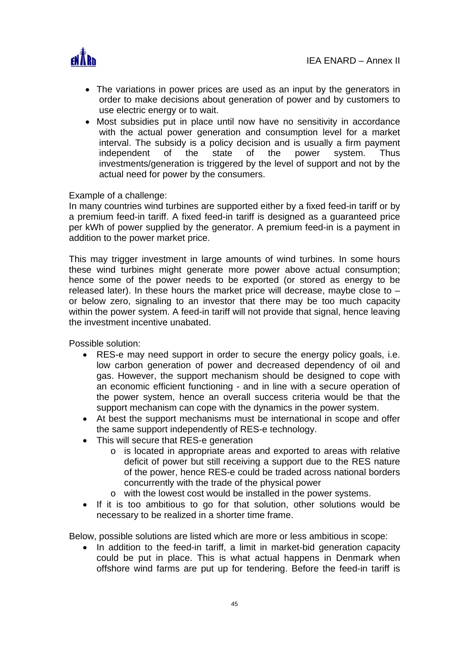

- The variations in power prices are used as an input by the generators in order to make decisions about generation of power and by customers to use electric energy or to wait.
- Most subsidies put in place until now have no sensitivity in accordance with the actual power generation and consumption level for a market interval. The subsidy is a policy decision and is usually a firm payment independent of the state of the power system. Thus investments/generation is triggered by the level of support and not by the actual need for power by the consumers.

#### Example of a challenge:

In many countries wind turbines are supported either by a fixed feed-in tariff or by a premium feed-in tariff. A fixed feed-in tariff is designed as a guaranteed price per kWh of power supplied by the generator. A premium feed-in is a payment in addition to the power market price.

This may trigger investment in large amounts of wind turbines. In some hours these wind turbines might generate more power above actual consumption; hence some of the power needs to be exported (or stored as energy to be released later). In these hours the market price will decrease, maybe close to – or below zero, signaling to an investor that there may be too much capacity within the power system. A feed-in tariff will not provide that signal, hence leaving the investment incentive unabated.

Possible solution:

- RES-e may need support in order to secure the energy policy goals, i.e. low carbon generation of power and decreased dependency of oil and gas. However, the support mechanism should be designed to cope with an economic efficient functioning - and in line with a secure operation of the power system, hence an overall success criteria would be that the support mechanism can cope with the dynamics in the power system.
- At best the support mechanisms must be international in scope and offer the same support independently of RES-e technology.
- This will secure that RES-e generation
	- o is located in appropriate areas and exported to areas with relative deficit of power but still receiving a support due to the RES nature of the power, hence RES-e could be traded across national borders concurrently with the trade of the physical power
	- o with the lowest cost would be installed in the power systems.
- If it is too ambitious to go for that solution, other solutions would be necessary to be realized in a shorter time frame.

Below, possible solutions are listed which are more or less ambitious in scope:

• In addition to the feed-in tariff, a limit in market-bid generation capacity could be put in place. This is what actual happens in Denmark when offshore wind farms are put up for tendering. Before the feed-in tariff is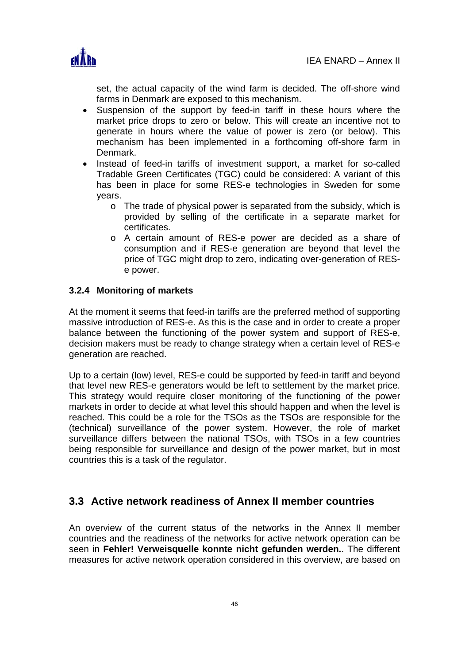

set, the actual capacity of the wind farm is decided. The off-shore wind farms in Denmark are exposed to this mechanism.

- Suspension of the support by feed-in tariff in these hours where the market price drops to zero or below. This will create an incentive not to generate in hours where the value of power is zero (or below). This mechanism has been implemented in a forthcoming off-shore farm in Denmark.
- Instead of feed-in tariffs of investment support, a market for so-called Tradable Green Certificates (TGC) could be considered: A variant of this has been in place for some RES-e technologies in Sweden for some years.
	- o The trade of physical power is separated from the subsidy, which is provided by selling of the certificate in a separate market for certificates.
	- o A certain amount of RES-e power are decided as a share of consumption and if RES-e generation are beyond that level the price of TGC might drop to zero, indicating over-generation of RESe power.

# **3.2.4 Monitoring of markets**

At the moment it seems that feed-in tariffs are the preferred method of supporting massive introduction of RES-e. As this is the case and in order to create a proper balance between the functioning of the power system and support of RES-e, decision makers must be ready to change strategy when a certain level of RES-e generation are reached.

Up to a certain (low) level, RES-e could be supported by feed-in tariff and beyond that level new RES-e generators would be left to settlement by the market price. This strategy would require closer monitoring of the functioning of the power markets in order to decide at what level this should happen and when the level is reached. This could be a role for the TSOs as the TSOs are responsible for the (technical) surveillance of the power system. However, the role of market surveillance differs between the national TSOs, with TSOs in a few countries being responsible for surveillance and design of the power market, but in most countries this is a task of the regulator.

# **3.3 Active network readiness of Annex II member countries**

An overview of the current status of the networks in the Annex II member countries and the readiness of the networks for active network operation can be seen in **Fehler! Verweisquelle konnte nicht gefunden werden.**. The different measures for active network operation considered in this overview, are based on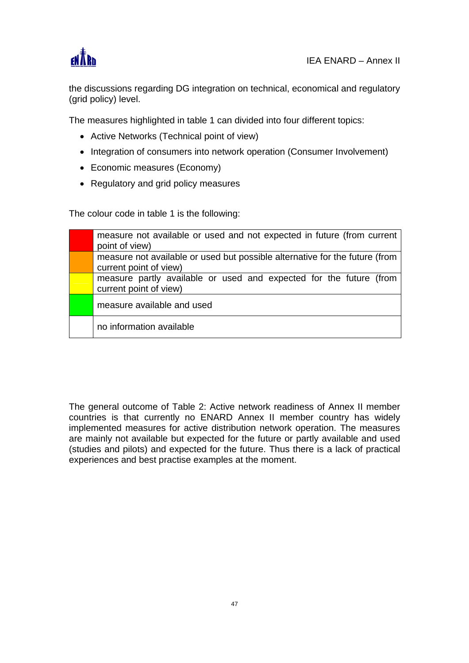

the discussions regarding DG integration on technical, economical and regulatory (grid policy) level.

The measures highlighted in table 1 can divided into four different topics:

- Active Networks (Technical point of view)
- Integration of consumers into network operation (Consumer Involvement)
- Economic measures (Economy)
- Regulatory and grid policy measures

The colour code in table 1 is the following:

| measure not available or used and not expected in future (from current<br>point of view)              |
|-------------------------------------------------------------------------------------------------------|
| measure not available or used but possible alternative for the future (from<br>current point of view) |
| measure partly available or used and expected for the future (from<br>current point of view)          |
| measure available and used                                                                            |
| no information available                                                                              |

The general outcome of Table 2: Active network readiness of Annex II member countries is that currently no ENARD Annex II member country has widely implemented measures for active distribution network operation. The measures are mainly not available but expected for the future or partly available and used (studies and pilots) and expected for the future. Thus there is a lack of practical experiences and best practise examples at the moment.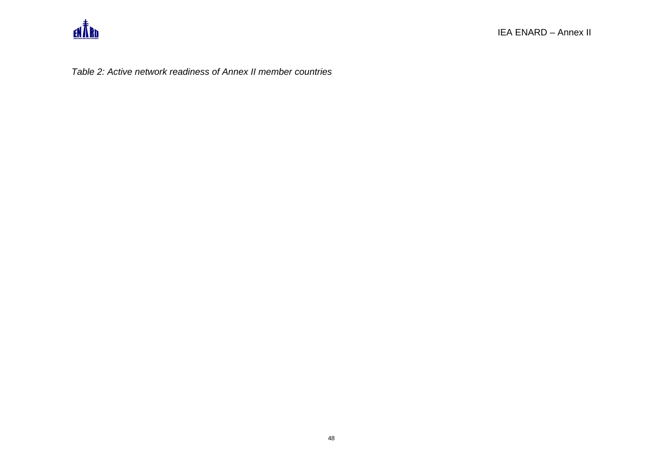

*Table 2: Active network readiness of Annex II member countries*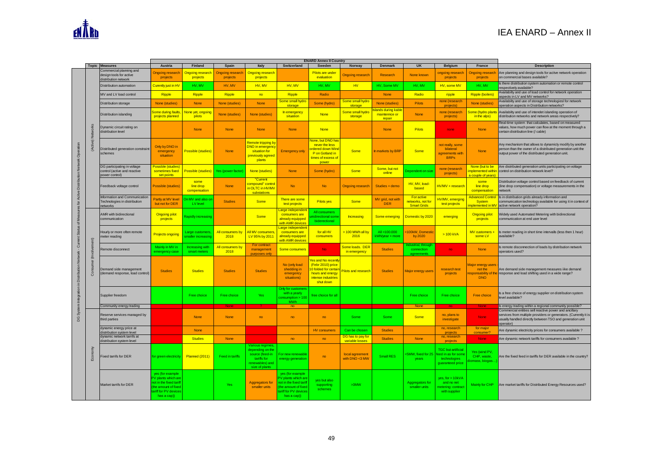|                                         |               | <b>Topic Measures</b>                                                         | Austria                                                                                                                           | Finland                                | Spain                               | Italy                                                                                                      | Switzerland                                                                                                                     | <b>ENARD Annex II Country</b><br>Sweden                                                                              | Norway                               | <b>Denmark</b>                                | <b>UK</b>                                             | <b>Belgium</b>                                                                    | France                                                                      | <b>Description</b>                                                                                                                                                                                 |
|-----------------------------------------|---------------|-------------------------------------------------------------------------------|-----------------------------------------------------------------------------------------------------------------------------------|----------------------------------------|-------------------------------------|------------------------------------------------------------------------------------------------------------|---------------------------------------------------------------------------------------------------------------------------------|----------------------------------------------------------------------------------------------------------------------|--------------------------------------|-----------------------------------------------|-------------------------------------------------------|-----------------------------------------------------------------------------------|-----------------------------------------------------------------------------|----------------------------------------------------------------------------------------------------------------------------------------------------------------------------------------------------|
|                                         |               | Commercial planning and<br>design tools for active<br>distribution network    | <b>Ongoing research</b><br>projects                                                                                               | <b>Ongoing research</b><br>projects    | <b>Ongoing research</b><br>projects | <b>Ongoing research</b><br>projects                                                                        |                                                                                                                                 | Pilots are under<br>evaluation                                                                                       | <b>Ongoing research</b>              | <b>Research</b>                               | None known                                            | ongoing research<br>projects                                                      | <b>Ongoing research</b><br>projects                                         | Are planning and design tools for acitve network operation<br>on commercial bases available?                                                                                                       |
|                                         |               | Distribution automation                                                       | Curently just in HV                                                                                                               | HV. MV                                 | HV, MV                              | HV, MV                                                                                                     | HV, MV                                                                                                                          | HV, MV                                                                                                               | HV                                   | HV, Some MV                                   | HV. MV                                                | HV, some MV                                                                       | HV, MV                                                                      | s there distribution system automation or remote control<br>respectively available?                                                                                                                |
|                                         |               | MV and LV load control                                                        | <b>Ripple</b>                                                                                                                     | Ripple                                 | <b>Ripple</b>                       | no                                                                                                         | Ripple                                                                                                                          | Radio                                                                                                                |                                      | <b>None</b>                                   | Radio                                                 | ripple                                                                            | <b>Ripple (boilers)</b>                                                     | Availabilty and use of load control for network operation<br>aspects in LV and MV networks?                                                                                                        |
|                                         |               | Distribution storage                                                          | None (studies)                                                                                                                    | None                                   | None (studies)                      | <b>None</b>                                                                                                | Some small hydro<br>storage                                                                                                     | Some (hydro)                                                                                                         | Some small hydro<br>storage          | None (studies)                                | <b>Pilots</b>                                         | none (research<br>projects                                                        | None (studies)                                                              | Availabilty and use of storage technologiesI for network<br>operation aspects in Distribution networks?                                                                                            |
|                                         |               | Distribution islanding                                                        | <b>Some during faults</b><br>projects planned                                                                                     | None yet, ongoing<br>pilots            | None (studies)                      | None (studies)                                                                                             | In emergency<br>situation                                                                                                       | <b>None</b>                                                                                                          | Some small hydro<br>storage          | lands during kable<br>maintennce or<br>repair | None                                                  | none (research<br>projects)                                                       | Some (hydro plants<br>in the alps)                                          | Availabilty and use of intendet islanding operation of<br>distribution networks and network areas respectively?                                                                                    |
|                                         | $\frac{a}{2}$ | Dynamic circuit rating on<br>distribution level                               |                                                                                                                                   | <b>None</b>                            | None                                | <b>None</b>                                                                                                | <b>None</b>                                                                                                                     | <b>None</b>                                                                                                          |                                      | <b>None</b>                                   | <b>Pilots</b>                                         | none                                                                              | <b>None</b>                                                                 | Real-time system that calculates, based on measured<br>values, how much power can flow at the moment through a<br>certain distribution line (/ cable)                                              |
| Distribution Network Operation          | (Activ        | Distributed generation constraint<br>schemes                                  | Only by DNO in<br>emergency<br>situation                                                                                          | <b>Possible (studies)</b>              | <b>None</b>                         | <b>Remote tripping by</b><br><b>DNO</b> in emergency<br>situation for<br>previously agreed<br>plants       | <b>Emergency only</b>                                                                                                           | <b>Vone, but DNO has</b><br>never the less<br>rdered down Wind<br>P on Gotland in<br>times of excess of<br>power     | Some                                 | In markets by BRP                             | Some                                                  | not really, some<br>bilateral<br>agreements with<br><b>BRPs</b>                   | <b>None</b>                                                                 | Any mechanism that allows to dynamicly modify by another<br>person than the owner of a distributed generation unit the<br>output power of the distributed generation unit.                         |
|                                         |               | DG participating in voltage<br>control (active and reactive<br>power control) | Possible (studies<br>sometimes fixed<br>set points                                                                                | Possible (studies)                     | Yes (power factor                   | None (studies)                                                                                             | <b>None</b>                                                                                                                     | Some (hydro)                                                                                                         | <b>Some</b>                          | Some, but not<br>online                       | Dependent on size                                     | none (research<br>projects)                                                       | None (but to be<br>mplemented withir<br>a couple of years'                  | Are distributed generation units participating on voltage<br>control on distribution network level?                                                                                                |
|                                         |               | Feedback voltage control                                                      | <b>Possible (studies)</b>                                                                                                         | some<br>line drop<br>compensation      | <b>None</b>                         | "Current<br>compound" control<br>in OLTC in HV/MV<br>substations                                           | <b>No</b>                                                                                                                       | <b>No</b>                                                                                                            | <b>Ongoing research</b>              | Studies + demo                                | HV, MV, load-<br>based                                | HV/MV + research                                                                  | some<br>line drop<br>compensation                                           | Distribution voltage control based on feedback of current<br>line drop compensation) or voltage measurements in the<br>hetwork                                                                     |
| s for Acitye                            |               | Information and Communication<br>Technologies in distribution<br>networks     | Partly at MV level<br>but not for DER                                                                                             | On MV and also o<br>LV level           | <b>Studies</b>                      | <b>Some</b>                                                                                                | There are some<br>test projects                                                                                                 | <b>Pilots yes</b>                                                                                                    | Some                                 | MV grid, not with<br><b>DER</b>               | For active<br>networks, not for<br><b>Smart Grids</b> | HV/MV, emerging<br>test projects                                                  | <b>Advanced Control</b><br><b>System</b><br>plemented in M\                 | Is in distribution grids already information and<br>communication technology available for using it in context of<br>active network operation?                                                     |
|                                         |               | AMR with bidirectional<br>communication                                       | <b>Ongoing pilot</b><br>projects                                                                                                  | Rapidly increasing                     |                                     | <b>Some</b>                                                                                                | arge independent<br>consumers are<br>already equipped<br>with AMR devices                                                       | All consumers<br>hidirectional som<br>biderectional                                                                  | <b>Increasing</b>                    | Some emerging                                 | Domestic by 2020                                      | emerging                                                                          | <b>Ongoing pilot</b><br>projects                                            | Widely used Automated Metering with bidirectional<br>communication at end user level                                                                                                               |
| Current Status of Me                    | £             | Hourly or more often remote<br>neter reading                                  | <b>Projects ongoing</b>                                                                                                           | Large customers<br>maller increasing   | All consumers by<br>2018            | All MV consumers<br>LV 95% by 2011                                                                         | arge independent<br>consumers are<br>already equipped<br>with AMR devices                                                       | for all HV<br>consumers                                                                                              | > 100 MWh all by<br>2016             | All >100.000<br>kWh/year + more               | 100kW, Domestio<br>by 2020                            | $>100$ kVA                                                                        | MV customers +<br>some LV                                                   | Is meter reading in short time intervalls (less then 1 hour)<br>available?                                                                                                                         |
|                                         |               | Remote disconnect                                                             | Mainly in MV in<br>emergency case                                                                                                 | <b>Increasing</b> with<br>smart meters | All consumers by<br>2018            | For contract<br>management<br>purposes only                                                                | Some consumers                                                                                                                  | <b>No</b>                                                                                                            | Some loads, DER<br>in emergency      | <b>Studies</b>                                | ndustrial, througl<br>connection<br>agreemer          | no                                                                                | <b>None</b>                                                                 | Is remote disconnection of loads by distribution network<br>operators used?                                                                                                                        |
| System Integration in Distribution Netw | ÷.<br>8       | Demand side management<br>demand response, load control)                      | <b>Studies</b>                                                                                                                    | <b>Studies</b>                         | <b>Studies</b>                      | <b>Studies</b>                                                                                             | No (only load<br>shedding in<br>emergency<br>situations)                                                                        | es and No recent<br>(Febr 2010) price<br>0 folded for certain<br>hours and energy<br>intense industries<br>shut down | <b>Pilots and research</b>           | <b>Studies</b>                                | Major energy users                                    | research test<br>projects                                                         | <b>Major energy users</b><br>not the<br>responsability of the<br><b>DNO</b> | Are demand side management measures iike demand<br>response and load shifting used in a wide range?                                                                                                |
|                                         |               | Supplier freedom                                                              |                                                                                                                                   | Free choice                            | Free choice                         | Yes                                                                                                        | Only for customers<br>with a yearly<br>onsumption > 100<br>MWI                                                                  | free choice for all                                                                                                  |                                      |                                               | Free choice                                           | Free choice                                                                       | Free choice                                                                 | Is a free choice of energy supplier on distribution system<br>level available?                                                                                                                     |
|                                         |               | Community energy trading                                                      |                                                                                                                                   |                                        |                                     |                                                                                                            | no                                                                                                                              |                                                                                                                      |                                      |                                               | <b>None</b>                                           | no                                                                                | <b>None</b>                                                                 | Is energy trading within a regional community possible?                                                                                                                                            |
| <b>SC</b>                               |               | Reserve services managed by<br>third parties                                  |                                                                                                                                   | <b>None</b>                            | <b>None</b>                         | no                                                                                                         | no                                                                                                                              | no                                                                                                                   | Some                                 | Some                                          | <b>Some</b>                                           | no, plans to<br>investigate                                                       | <b>None</b>                                                                 | Commercial entities sell reactive power and ancillary<br>services from multiple providers or generators. (Currently it is<br>usually handled directly between TSO and generation unit<br>operator) |
|                                         |               | dynamic energy price at<br>distribution system level                          |                                                                                                                                   | None                                   |                                     |                                                                                                            |                                                                                                                                 | <b>HV</b> consumers                                                                                                  | Can be chosen                        | <b>Studies</b>                                |                                                       | no, research<br>projects                                                          | for major<br>consumer?                                                      | Are dynamic electricity prices for consumers available ?                                                                                                                                           |
|                                         |               | dynamic network tarrifs at<br>distribution system level                       |                                                                                                                                   | <b>Studies</b>                         | None                                |                                                                                                            | no                                                                                                                              | no                                                                                                                   | DG has to pay for<br>variable losses | <b>Studies</b>                                | <b>None</b>                                           | no, research<br>projects                                                          | None                                                                        | Are dynamic network tariffs for consumers available ?                                                                                                                                              |
|                                         | $E$ or        | ixed tarrifs for DER                                                          | or green electrici                                                                                                                | <b>Planned (2011)</b>                  | Feed in tariffs                     | Various regimes<br>depending on the<br>source (feed-in<br>tariffs for<br>renewables) and<br>size of plants | For new renewable<br>energy generation                                                                                          | no                                                                                                                   | local agreement<br>with DNO <3 MW    | Small RES                                     | :5MW, fixed for 25<br>vears                           | <b>TGC</b> but artificial<br>ed in as for som<br>technologies<br>quaranteed price | Yes (wind PV<br>CHP, waste,<br>omass, biogas.                               | Are the fixed feed in tariffs for DER available in the country?                                                                                                                                    |
|                                         |               | Market tarrifs for DER                                                        | yes (for example<br>PV plants which are<br>not in the fixed tariff<br>(the amount of fixed<br>ariff for PV devices<br>has a cap)) |                                        | <b>Yes</b>                          | Aggregators for<br>smaller units                                                                           | yes (for example<br>V plants which are<br>not in the fixed tariff<br>the amount of fixed<br>ariff for PV devices<br>has a cap)) | yes but also<br>supporting<br>schemes                                                                                | >3MW                                 |                                               | Aggregators for<br>smaller units                      | ves. for > 10kVA<br>and no net<br>metering: contract<br>with supplier             | Mainly for CHP                                                              | Are market tariffs for Distributed Energy Resources used?                                                                                                                                          |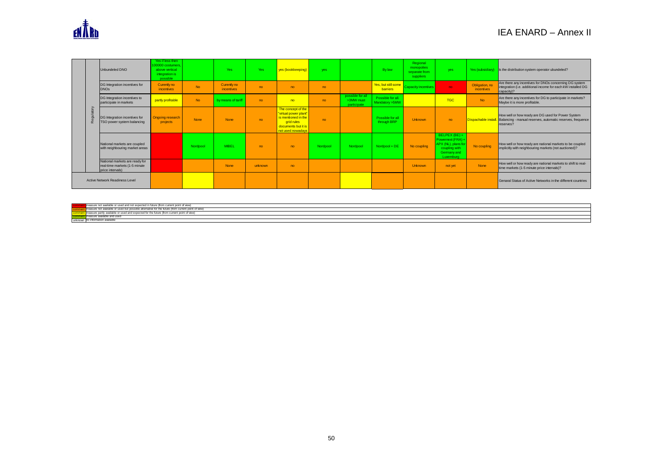

|          | Unbundeled DNO                                                                      | Yes if less then<br>100000 costumers<br>above vertical<br>integration is<br>possible |             | <b>Yes</b>                       | Yes     | yes (bookkeeping)                                                                                                            | yes.     |                                              | <b>By law</b>                          | Regional<br>monopolies<br>separate from<br>suppliers | <b>yes</b>                                                                                             | Yes (subsidiary)             | $\vert$ is the distribution system operator ubundeled?                                                                               |
|----------|-------------------------------------------------------------------------------------|--------------------------------------------------------------------------------------|-------------|----------------------------------|---------|------------------------------------------------------------------------------------------------------------------------------|----------|----------------------------------------------|----------------------------------------|------------------------------------------------------|--------------------------------------------------------------------------------------------------------|------------------------------|--------------------------------------------------------------------------------------------------------------------------------------|
|          | DG Integration incentives for<br><b>DNOs</b>                                        | Curently no<br>incentives                                                            | <b>No</b>   | Curently no<br><i>incentives</i> | no.     | no                                                                                                                           | no       |                                              | Yes, but still some<br><b>barriers</b> | Capacity incentives                                  | no                                                                                                     | Obligation, no<br>incentives | Are there any incentives for DNOs concerning DG system<br>integration (i.e. additional income for each kW installed DG<br>capacity)? |
|          | DG Integration incentives to<br>participate in markets                              | partly profitable                                                                    | <b>No</b>   | by means of tarif                | no      | no                                                                                                                           | no       | possible for all<br>>3MW must<br>participate | Possible for all.<br>Mandatory >5MW    |                                                      | <b>TGC</b>                                                                                             | <b>No</b>                    | Are there any incentives for DG to participate in markets?<br>Maybe it is more profitable.                                           |
| $\alpha$ | DG Integration incentives for<br>TSO power system balancing                         | <b>Ongoing research</b><br>projects                                                  | <b>None</b> | <b>None</b>                      | no      | The concept of the<br>"virtual power plant"<br>is mentioned in the<br>grid rules<br>documents but it is<br>not used nowadays | no       |                                              | Possible for all<br>through BRP        | Unknown                                              | no                                                                                                     | Dispachable install.         | How well or how ready are DG used for Power System<br>Balancing - manual reserves, automatic reserves, frequence<br>reserves?        |
|          | National markets are coupled<br>with neighbouring market areas                      |                                                                                      | Nordpool    | <b>MIBEL</b>                     | no      | no                                                                                                                           | Nordpool | Nordpool                                     | Nordpool + DE                          | No coupling                                          | BELPEX (BE) +<br>Powernext (FRA) +<br>APX (NL), plans for<br>coupling with<br>Germany and<br>Luxemburg | No coupling                  | How well or how ready are national markets to be coupled<br>implicitly with neighbouring markets (not auctioned)?                    |
|          | National markets are ready for<br>real-time markets (1-5 minute<br>price intervals) |                                                                                      |             | <b>None</b>                      | unknown | no                                                                                                                           |          |                                              |                                        | Unknown                                              | not yet                                                                                                | <b>None</b>                  | How well or how ready are national markets to shift to real-<br>time markets (1-5 minute price intervals)?                           |
|          | <b>Active Network Readiness Level</b>                                               |                                                                                      |             |                                  |         |                                                                                                                              |          |                                              |                                        |                                                      |                                                                                                        |                              | Genaral Status of Active Networks in the different countries                                                                         |

|        | ** point of view,<br>n curron-<br>------<br>and not |
|--------|-----------------------------------------------------|
|        | ive for the future (from current point of view)     |
|        | . About Automa Henne, .<br>for the norm of views    |
|        |                                                     |
| unknow |                                                     |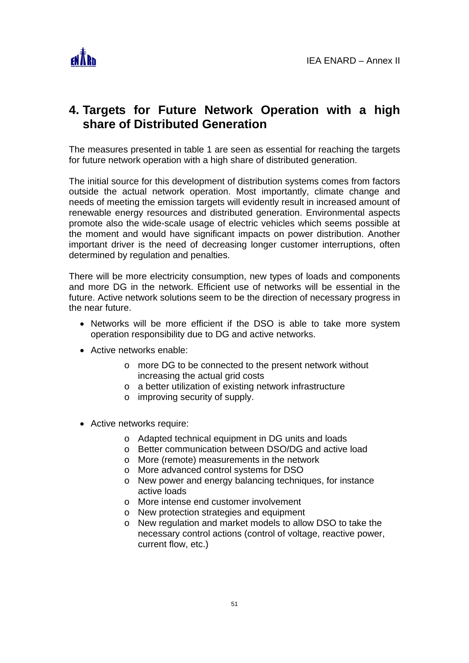

# **4. Targets for Future Network Operation with a high share of Distributed Generation**

The measures presented in table 1 are seen as essential for reaching the targets for future network operation with a high share of distributed generation.

The initial source for this development of distribution systems comes from factors outside the actual network operation. Most importantly, climate change and needs of meeting the emission targets will evidently result in increased amount of renewable energy resources and distributed generation. Environmental aspects promote also the wide-scale usage of electric vehicles which seems possible at the moment and would have significant impacts on power distribution. Another important driver is the need of decreasing longer customer interruptions, often determined by regulation and penalties.

There will be more electricity consumption, new types of loads and components and more DG in the network. Efficient use of networks will be essential in the future. Active network solutions seem to be the direction of necessary progress in the near future.

- Networks will be more efficient if the DSO is able to take more system operation responsibility due to DG and active networks.
- Active networks enable:
	- o more DG to be connected to the present network without increasing the actual grid costs
	- o a better utilization of existing network infrastructure
	- o improving security of supply.
- Active networks require:
	- o Adapted technical equipment in DG units and loads
	- o Better communication between DSO/DG and active load
	- o More (remote) measurements in the network
	- o More advanced control systems for DSO
	- o New power and energy balancing techniques, for instance active loads
	- o More intense end customer involvement
	- o New protection strategies and equipment
	- o New regulation and market models to allow DSO to take the necessary control actions (control of voltage, reactive power, current flow, etc.)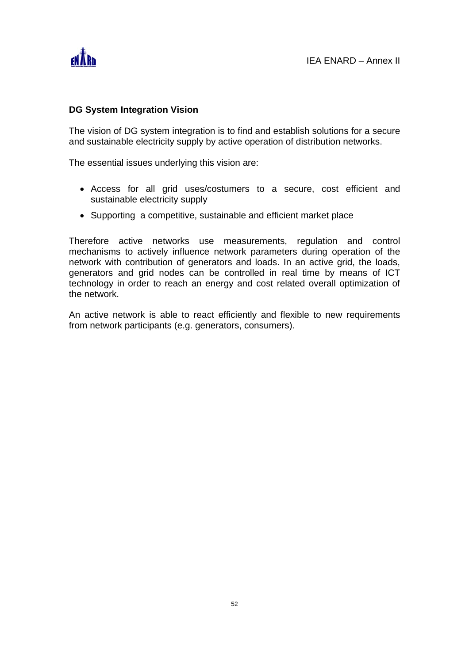

### **DG System Integration Vision**

The vision of DG system integration is to find and establish solutions for a secure and sustainable electricity supply by active operation of distribution networks.

The essential issues underlying this vision are:

- Access for all grid uses/costumers to a secure, cost efficient and sustainable electricity supply
- Supporting a competitive, sustainable and efficient market place

Therefore active networks use measurements, regulation and control mechanisms to actively influence network parameters during operation of the network with contribution of generators and loads. In an active grid, the loads, generators and grid nodes can be controlled in real time by means of ICT technology in order to reach an energy and cost related overall optimization of the network.

An active network is able to react efficiently and flexible to new requirements from network participants (e.g. generators, consumers).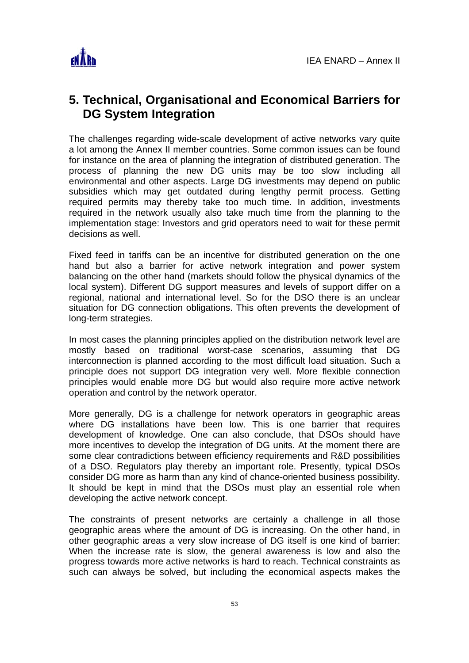

# **5. Technical, Organisational and Economical Barriers for DG System Integration**

The challenges regarding wide-scale development of active networks vary quite a lot among the Annex II member countries. Some common issues can be found for instance on the area of planning the integration of distributed generation. The process of planning the new DG units may be too slow including all environmental and other aspects. Large DG investments may depend on public subsidies which may get outdated during lengthy permit process. Getting required permits may thereby take too much time. In addition, investments required in the network usually also take much time from the planning to the implementation stage: Investors and grid operators need to wait for these permit decisions as well.

Fixed feed in tariffs can be an incentive for distributed generation on the one hand but also a barrier for active network integration and power system balancing on the other hand (markets should follow the physical dynamics of the local system). Different DG support measures and levels of support differ on a regional, national and international level. So for the DSO there is an unclear situation for DG connection obligations. This often prevents the development of long-term strategies.

In most cases the planning principles applied on the distribution network level are mostly based on traditional worst-case scenarios, assuming that DG interconnection is planned according to the most difficult load situation. Such a principle does not support DG integration very well. More flexible connection principles would enable more DG but would also require more active network operation and control by the network operator.

More generally, DG is a challenge for network operators in geographic areas where DG installations have been low. This is one barrier that requires development of knowledge. One can also conclude, that DSOs should have more incentives to develop the integration of DG units. At the moment there are some clear contradictions between efficiency requirements and R&D possibilities of a DSO. Regulators play thereby an important role. Presently, typical DSOs consider DG more as harm than any kind of chance-oriented business possibility. It should be kept in mind that the DSOs must play an essential role when developing the active network concept.

The constraints of present networks are certainly a challenge in all those geographic areas where the amount of DG is increasing. On the other hand, in other geographic areas a very slow increase of DG itself is one kind of barrier: When the increase rate is slow, the general awareness is low and also the progress towards more active networks is hard to reach. Technical constraints as such can always be solved, but including the economical aspects makes the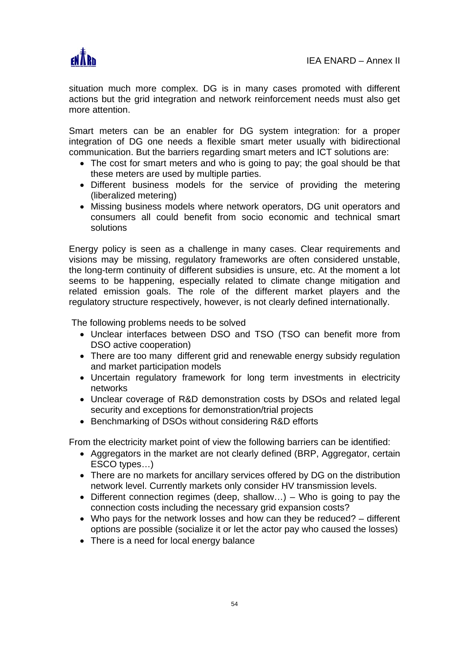

situation much more complex. DG is in many cases promoted with different actions but the grid integration and network reinforcement needs must also get more attention.

Smart meters can be an enabler for DG system integration: for a proper integration of DG one needs a flexible smart meter usually with bidirectional communication. But the barriers regarding smart meters and ICT solutions are:

- The cost for smart meters and who is going to pay; the goal should be that these meters are used by multiple parties.
- Different business models for the service of providing the metering (liberalized metering)
- Missing business models where network operators, DG unit operators and consumers all could benefit from socio economic and technical smart solutions

Energy policy is seen as a challenge in many cases. Clear requirements and visions may be missing, regulatory frameworks are often considered unstable, the long-term continuity of different subsidies is unsure, etc. At the moment a lot seems to be happening, especially related to climate change mitigation and related emission goals. The role of the different market players and the regulatory structure respectively, however, is not clearly defined internationally.

The following problems needs to be solved

- Unclear interfaces between DSO and TSO (TSO can benefit more from DSO active cooperation)
- There are too many different grid and renewable energy subsidy regulation and market participation models
- Uncertain regulatory framework for long term investments in electricity networks
- Unclear coverage of R&D demonstration costs by DSOs and related legal security and exceptions for demonstration/trial projects
- Benchmarking of DSOs without considering R&D efforts

From the electricity market point of view the following barriers can be identified:

- Aggregators in the market are not clearly defined (BRP, Aggregator, certain ESCO types…)
- There are no markets for ancillary services offered by DG on the distribution network level. Currently markets only consider HV transmission levels.
- Different connection regimes (deep, shallow…) Who is going to pay the connection costs including the necessary grid expansion costs?
- Who pays for the network losses and how can they be reduced? different options are possible (socialize it or let the actor pay who caused the losses)
- There is a need for local energy balance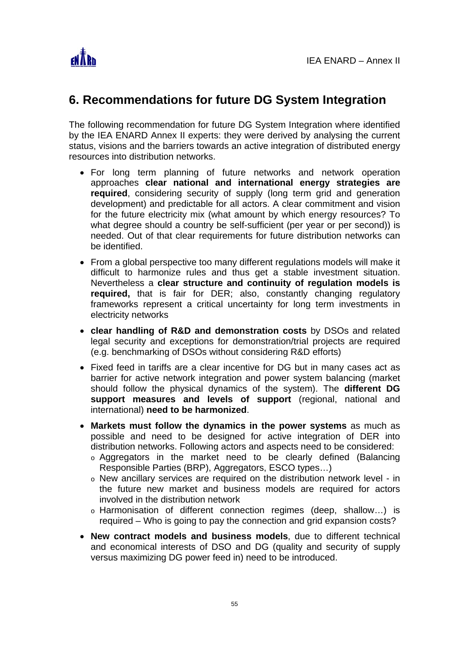

# **6. Recommendations for future DG System Integration**

The following recommendation for future DG System Integration where identified by the IEA ENARD Annex II experts: they were derived by analysing the current status, visions and the barriers towards an active integration of distributed energy resources into distribution networks.

- For long term planning of future networks and network operation approaches **clear national and international energy strategies are required**, considering security of supply (long term grid and generation development) and predictable for all actors. A clear commitment and vision for the future electricity mix (what amount by which energy resources? To what degree should a country be self-sufficient (per year or per second)) is needed. Out of that clear requirements for future distribution networks can be identified.
- From a global perspective too many different regulations models will make it difficult to harmonize rules and thus get a stable investment situation. Nevertheless a **clear structure and continuity of regulation models is required,** that is fair for DER; also, constantly changing regulatory frameworks represent a critical uncertainty for long term investments in electricity networks
- **clear handling of R&D and demonstration costs** by DSOs and related legal security and exceptions for demonstration/trial projects are required (e.g. benchmarking of DSOs without considering R&D efforts)
- Fixed feed in tariffs are a clear incentive for DG but in many cases act as barrier for active network integration and power system balancing (market should follow the physical dynamics of the system). The **different DG support measures and levels of support** (regional, national and international) **need to be harmonized**.
- **Markets must follow the dynamics in the power systems** as much as possible and need to be designed for active integration of DER into distribution networks. Following actors and aspects need to be considered:
	- o Aggregators in the market need to be clearly defined (Balancing Responsible Parties (BRP), Aggregators, ESCO types…)
	- o New ancillary services are required on the distribution network level in the future new market and business models are required for actors involved in the distribution network
	- o Harmonisation of different connection regimes (deep, shallow…) is required – Who is going to pay the connection and grid expansion costs?
- **New contract models and business models**, due to different technical and economical interests of DSO and DG (quality and security of supply versus maximizing DG power feed in) need to be introduced.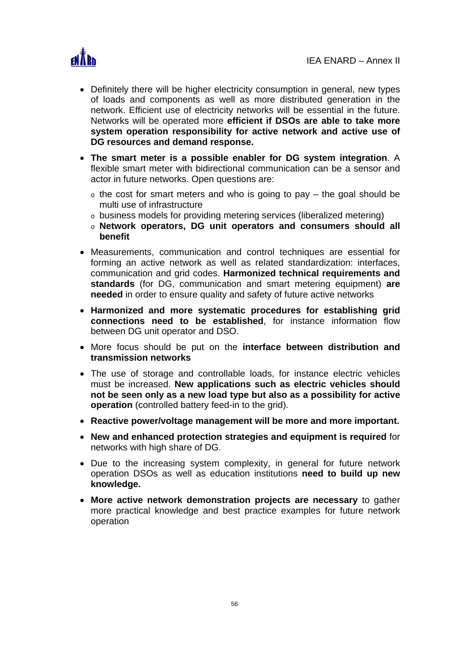

- Definitely there will be higher electricity consumption in general, new types of loads and components as well as more distributed generation in the network. Efficient use of electricity networks will be essential in the future. Networks will be operated more **efficient if DSOs are able to take more system operation responsibility for active network and active use of DG resources and demand response.**
- **The smart meter is a possible enabler for DG system integration**. A flexible smart meter with bidirectional communication can be a sensor and actor in future networks. Open questions are:
	- $\circ$  the cost for smart meters and who is going to pay the goal should be multi use of infrastructure
	- o business models for providing metering services (liberalized metering)
	- o **Network operators, DG unit operators and consumers should all benefit**
- Measurements, communication and control techniques are essential for forming an active network as well as related standardization: interfaces, communication and grid codes. **Harmonized technical requirements and standards** (for DG, communication and smart metering equipment) **are needed** in order to ensure quality and safety of future active networks
- **Harmonized and more systematic procedures for establishing grid connections need to be established**, for instance information flow between DG unit operator and DSO.
- More focus should be put on the **interface between distribution and transmission networks**
- The use of storage and controllable loads, for instance electric vehicles must be increased. **New applications such as electric vehicles should not be seen only as a new load type but also as a possibility for active operation** (controlled battery feed-in to the grid).
- **Reactive power/voltage management will be more and more important.**
- **New and enhanced protection strategies and equipment is required** for networks with high share of DG.
- Due to the increasing system complexity, in general for future network operation DSOs as well as education institutions **need to build up new knowledge.**
- **More active network demonstration projects are necessary** to gather more practical knowledge and best practice examples for future network operation